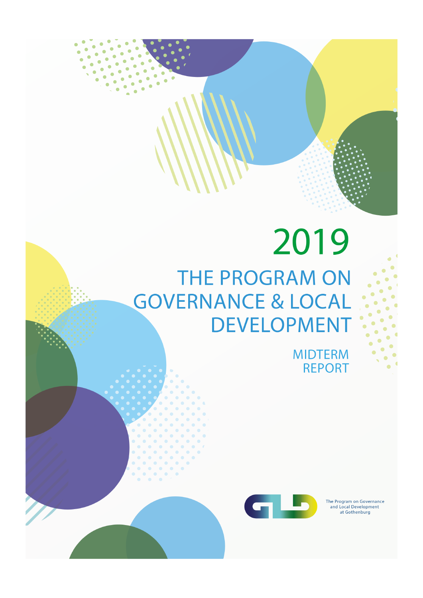# 2019 THE PROGRAM ON **GOVERNANCE & LOCAL DEVELOPMENT**

**MIDTERM REPORT** 



The Program on Governance<br>and Local Development at Gothenburg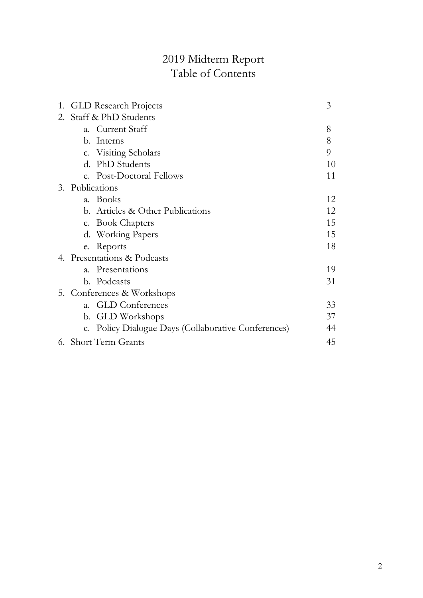# 2019 Midterm Report Table of Contents

| 1. |                            | <b>GLD</b> Research Projects                        | 3  |
|----|----------------------------|-----------------------------------------------------|----|
| 2. | Staff & PhD Students       |                                                     |    |
|    | $a_{\cdot}$                | Current Staff                                       | 8  |
|    |                            | b. Interns                                          | 8  |
|    |                            | c. Visiting Scholars                                | 9  |
|    |                            | d. PhD Students                                     | 10 |
|    |                            | e. Post-Doctoral Fellows                            | 11 |
|    | 3. Publications            |                                                     |    |
|    | $\mathbf{a}$ .             | <b>Books</b>                                        | 12 |
|    |                            | b. Articles & Other Publications                    | 12 |
|    |                            | c. Book Chapters                                    | 15 |
|    |                            | d. Working Papers                                   | 15 |
|    |                            | e. Reports                                          | 18 |
|    |                            | 4. Presentations & Podcasts                         |    |
|    | $\overline{a}$ .           | Presentations                                       | 19 |
|    |                            | b. Podcasts                                         | 31 |
|    | 5. Conferences & Workshops |                                                     |    |
|    | $\mathbf{a}$ .             | <b>GLD</b> Conferences                              | 33 |
|    |                            | b. GLD Workshops                                    | 37 |
|    |                            | c. Policy Dialogue Days (Collaborative Conferences) | 44 |
|    |                            | 6. Short Term Grants                                | 45 |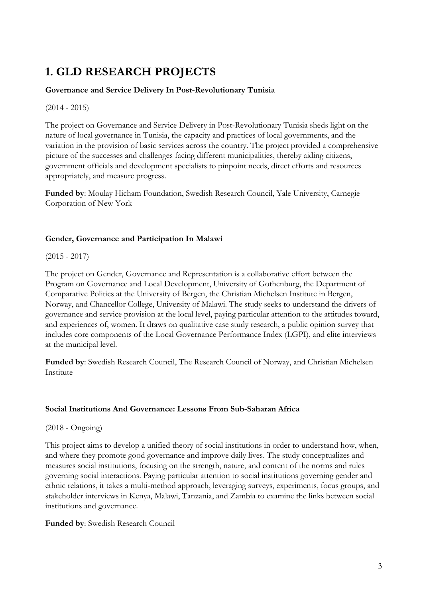# 1. GLD RESEARCH PROJECTS

# Governance and Service Delivery In Post-Revolutionary Tunisia

(2014 - 2015)

The project on Governance and Service Delivery in Post-Revolutionary Tunisia sheds light on the nature of local governance in Tunisia, the capacity and practices of local governments, and the variation in the provision of basic services across the country. The project provided a comprehensive picture of the successes and challenges facing different municipalities, thereby aiding citizens, government officials and development specialists to pinpoint needs, direct efforts and resources appropriately, and measure progress.

Funded by: Moulay Hicham Foundation, Swedish Research Council, Yale University, Carnegie Corporation of New York

# Gender, Governance and Participation In Malawi

#### $(2015 - 2017)$

The project on Gender, Governance and Representation is a collaborative effort between the Program on Governance and Local Development, University of Gothenburg, the Department of Comparative Politics at the University of Bergen, the Christian Michelsen Institute in Bergen, Norway, and Chancellor College, University of Malawi. The study seeks to understand the drivers of governance and service provision at the local level, paying particular attention to the attitudes toward, and experiences of, women. It draws on qualitative case study research, a public opinion survey that includes core components of the Local Governance Performance Index (LGPI), and elite interviews at the municipal level.

Funded by: Swedish Research Council, The Research Council of Norway, and Christian Michelsen Institute

# Social Institutions And Governance: Lessons From Sub-Saharan Africa

(2018 - Ongoing)

This project aims to develop a unified theory of social institutions in order to understand how, when, and where they promote good governance and improve daily lives. The study conceptualizes and measures social institutions, focusing on the strength, nature, and content of the norms and rules governing social interactions. Paying particular attention to social institutions governing gender and ethnic relations, it takes a multi-method approach, leveraging surveys, experiments, focus groups, and stakeholder interviews in Kenya, Malawi, Tanzania, and Zambia to examine the links between social institutions and governance.

# Funded by: Swedish Research Council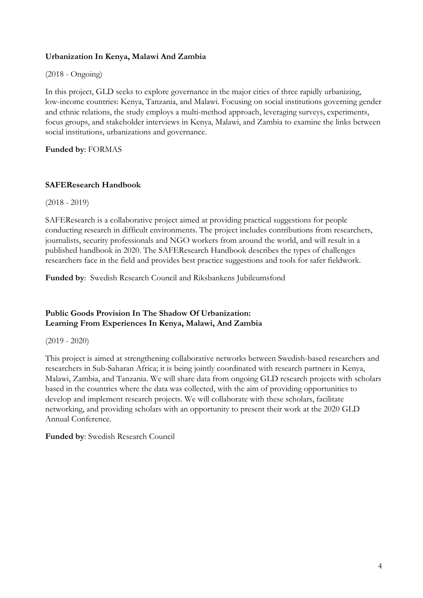# Urbanization In Kenya, Malawi And Zambia

#### (2018 - Ongoing)

In this project, GLD seeks to explore governance in the major cities of three rapidly urbanizing, low-income countries: Kenya, Tanzania, and Malawi. Focusing on social institutions governing gender and ethnic relations, the study employs a multi-method approach, leveraging surveys, experiments, focus groups, and stakeholder interviews in Kenya, Malawi, and Zambia to examine the links between social institutions, urbanizations and governance.

Funded by: FORMAS

# SAFEResearch Handbook

(2018 - 2019)

SAFEResearch is a collaborative project aimed at providing practical suggestions for people conducting research in difficult environments. The project includes contributions from researchers, journalists, security professionals and NGO workers from around the world, and will result in a published handbook in 2020. The SAFEResearch Handbook describes the types of challenges researchers face in the field and provides best practice suggestions and tools for safer fieldwork.

Funded by: Swedish Research Council and Riksbankens Jubileumsfond

# Public Goods Provision In The Shadow Of Urbanization: Learning From Experiences In Kenya, Malawi, And Zambia

(2019 - 2020)

This project is aimed at strengthening collaborative networks between Swedish-based researchers and researchers in Sub-Saharan Africa; it is being jointly coordinated with research partners in Kenya, Malawi, Zambia, and Tanzania. We will share data from ongoing GLD research projects with scholars based in the countries where the data was collected, with the aim of providing opportunities to develop and implement research projects. We will collaborate with these scholars, facilitate networking, and providing scholars with an opportunity to present their work at the 2020 GLD Annual Conference.

Funded by: Swedish Research Council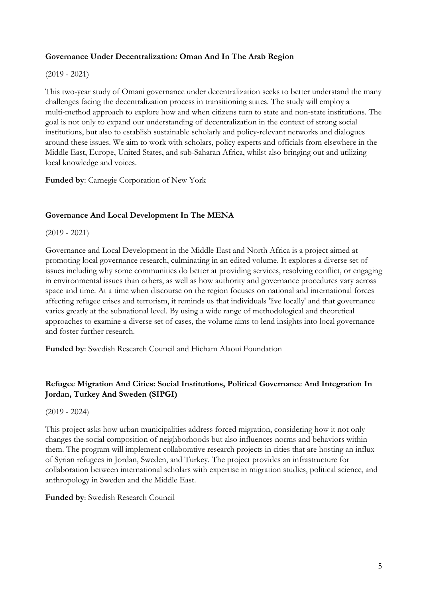# Governance Under Decentralization: Oman And In The Arab Region

#### (2019 - 2021)

This two-year study of Omani governance under decentralization seeks to better understand the many challenges facing the decentralization process in transitioning states. The study will employ a multi-method approach to explore how and when citizens turn to state and non-state institutions. The goal is not only to expand our understanding of decentralization in the context of strong social institutions, but also to establish sustainable scholarly and policy-relevant networks and dialogues around these issues. We aim to work with scholars, policy experts and officials from elsewhere in the Middle East, Europe, United States, and sub-Saharan Africa, whilst also bringing out and utilizing local knowledge and voices.

Funded by: Carnegie Corporation of New York

# Governance And Local Development In The MENA

(2019 - 2021)

Governance and Local Development in the Middle East and North Africa is a project aimed at promoting local governance research, culminating in an edited volume. It explores a diverse set of issues including why some communities do better at providing services, resolving conflict, or engaging in environmental issues than others, as well as how authority and governance procedures vary across space and time. At a time when discourse on the region focuses on national and international forces affecting refugee crises and terrorism, it reminds us that individuals 'live locally' and that governance varies greatly at the subnational level. By using a wide range of methodological and theoretical approaches to examine a diverse set of cases, the volume aims to lend insights into local governance and foster further research.

Funded by: Swedish Research Council and Hicham Alaoui Foundation

# Refugee Migration And Cities: Social Institutions, Political Governance And Integration In Jordan, Turkey And Sweden (SIPGI)

(2019 - 2024)

This project asks how urban municipalities address forced migration, considering how it not only changes the social composition of neighborhoods but also influences norms and behaviors within them. The program will implement collaborative research projects in cities that are hosting an influx of Syrian refugees in Jordan, Sweden, and Turkey. The project provides an infrastructure for collaboration between international scholars with expertise in migration studies, political science, and anthropology in Sweden and the Middle East.

#### Funded by: Swedish Research Council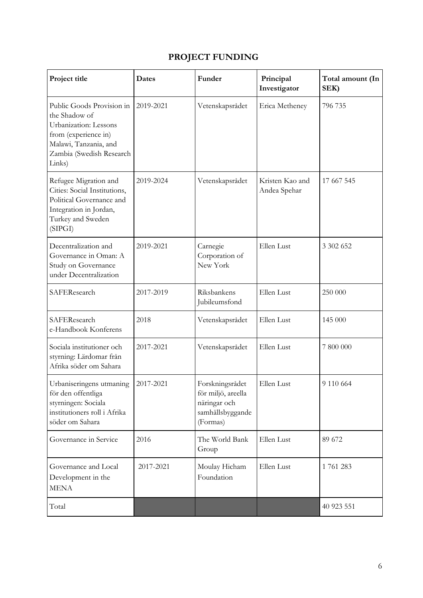# PROJECT FUNDING

| Project title                                                                                                                                              | <b>Dates</b> | Funder                                                                                | Principal<br>Investigator       | Total amount (In<br>SEK) |
|------------------------------------------------------------------------------------------------------------------------------------------------------------|--------------|---------------------------------------------------------------------------------------|---------------------------------|--------------------------|
| Public Goods Provision in<br>the Shadow of<br>Urbanization: Lessons<br>from (experience in)<br>Malawi, Tanzania, and<br>Zambia (Swedish Research<br>Links) | 2019-2021    | Vetenskapsrådet                                                                       | Erica Metheney                  | 796 735                  |
| Refugee Migration and<br>Cities: Social Institutions,<br>Political Governance and<br>Integration in Jordan,<br>Turkey and Sweden<br>(SIPGI)                | 2019-2024    | Vetenskapsrådet                                                                       | Kristen Kao and<br>Andea Spehar | 17 667 545               |
| Decentralization and<br>Governance in Oman: A<br>Study on Governance<br>under Decentralization                                                             | 2019-2021    | Carnegie<br>Corporation of<br>New York                                                | Ellen Lust                      | 3 302 652                |
| SAFEResearch                                                                                                                                               | 2017-2019    | Riksbankens<br>Jubileumsfond                                                          | Ellen Lust                      | 250 000                  |
| SAFEResearch<br>e-Handbook Konferens                                                                                                                       | 2018         | Vetenskapsrådet                                                                       | Ellen Lust                      | 145 000                  |
| Sociala institutioner och<br>styrning: Lärdomar från<br>Afrika söder om Sahara                                                                             | 2017-2021    | Vetenskapsrådet                                                                       | Ellen Lust                      | 7 800 000                |
| Urbaniseringens utmaning<br>för den offentliga<br>styrningen: Sociala<br>institutioners roll i Afrika<br>söder om Sahara                                   | 2017-2021    | Forskningsrådet<br>för miljö, areella<br>näringar och<br>samhällsbyggande<br>(Formas) | Ellen Lust                      | 9 110 664                |
| Governance in Service                                                                                                                                      | 2016         | The World Bank<br>Group                                                               | Ellen Lust                      | 89 672                   |
| Governance and Local<br>Development in the<br><b>MENA</b>                                                                                                  | 2017-2021    | Moulay Hicham<br>Foundation                                                           | Ellen Lust                      | 1761283                  |
| Total                                                                                                                                                      |              |                                                                                       |                                 | 40 923 551               |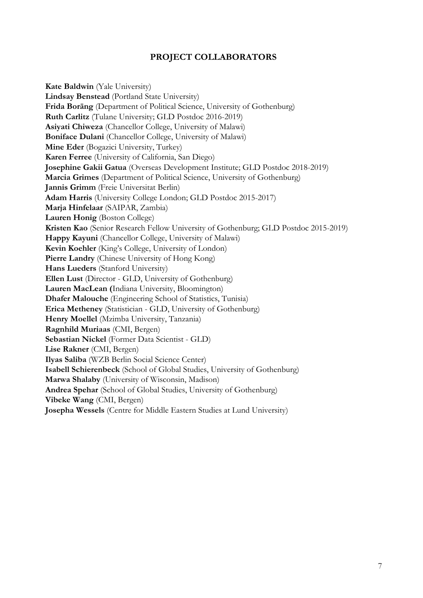# PROJECT COLLABORATORS

Kate Baldwin (Yale University) Lindsay Benstead (Portland State University) Frida Boräng (Department of Political Science, University of Gothenburg) Ruth Carlitz (Tulane University; GLD Postdoc 2016-2019) Asiyati Chiweza (Chancellor College, University of Malawi) Boniface Dulani (Chancellor College, University of Malawi) Mine Eder (Bogazici University, Turkey) Karen Ferree (University of California, San Diego) Josephine Gakii Gatua (Overseas Development Institute; GLD Postdoc 2018-2019) Marcia Grimes (Department of Political Science, University of Gothenburg) Jannis Grimm (Freie Universitat Berlin) Adam Harris (University College London; GLD Postdoc 2015-2017) Marja Hinfelaar (SAIPAR, Zambia) Lauren Honig (Boston College) Kristen Kao (Senior Research Fellow University of Gothenburg; GLD Postdoc 2015-2019) Happy Kayuni (Chancellor College, University of Malawi) Kevin Koehler (King's College, University of London) Pierre Landry (Chinese University of Hong Kong) Hans Lueders (Stanford University) Ellen Lust (Director - GLD, University of Gothenburg) Lauren MacLean (Indiana University, Bloomington) Dhafer Malouche (Engineering School of Statistics, Tunisia) Erica Metheney (Statistician - GLD, University of Gothenburg) Henry Moellel (Mzimba University, Tanzania) Ragnhild Muriaas (CMI, Bergen) Sebastian Nickel (Former Data Scientist - GLD) Lise Rakner (CMI, Bergen) Ilyas Saliba (WZB Berlin Social Science Center) Isabell Schierenbeck (School of Global Studies, University of Gothenburg) Marwa Shalaby (University of Wisconsin, Madison) Andrea Spehar (School of Global Studies, University of Gothenburg) Vibeke Wang (CMI, Bergen) Josepha Wessels (Centre for Middle Eastern Studies at Lund University)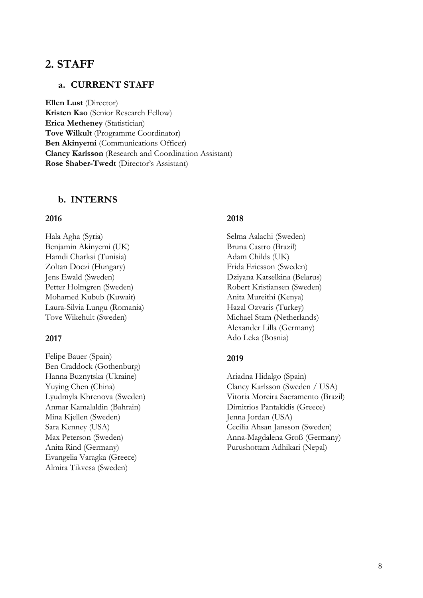# 2. STAFF

# a. CURRENT STAFF

Ellen Lust (Director) Kristen Kao (Senior Research Fellow) Erica Metheney (Statistician) Tove Wilkult (Programme Coordinator) Ben Akinyemi (Communications Officer) Clancy Karlsson (Research and Coordination Assistant) Rose Shaber-Twedt (Director's Assistant)

## b. INTERNS

#### 2016

Hala Agha (Syria) Benjamin Akinyemi (UK) Hamdi Charksi (Tunisia) Zoltan Doczi (Hungary) Jens Ewald (Sweden) Petter Holmgren (Sweden) Mohamed Kubub (Kuwait) Laura-Silvia Lungu (Romania) Tove Wikehult (Sweden)

#### 2017

Felipe Bauer (Spain) Ben Craddock (Gothenburg) Hanna Buznytska (Ukraine) Yuying Chen (China) Lyudmyla Khrenova (Sweden) Anmar Kamalaldin (Bahrain) Mina Kjellen (Sweden) Sara Kenney (USA) Max Peterson (Sweden) Anita Rind (Germany) Evangelia Varagka (Greece) Almira Tikvesa (Sweden)

## 2018

Selma Aalachi (Sweden) Bruna Castro (Brazil) Adam Childs (UK) Frida Ericsson (Sweden) Dziyana Katselkina (Belarus) Robert Kristiansen (Sweden) Anita Mureithi (Kenya) Hazal Ozvaris (Turkey) Michael Stam (Netherlands) Alexander Lilla (Germany) Ado Leka (Bosnia)

#### 2019

Ariadna Hidalgo (Spain) Clancy Karlsson (Sweden / USA) Vitoria Moreira Sacramento (Brazil) Dimitrios Pantakidis (Greece) Jenna Jordan (USA) Cecilia Ahsan Jansson (Sweden) Anna-Magdalena Groß (Germany) Purushottam Adhikari (Nepal)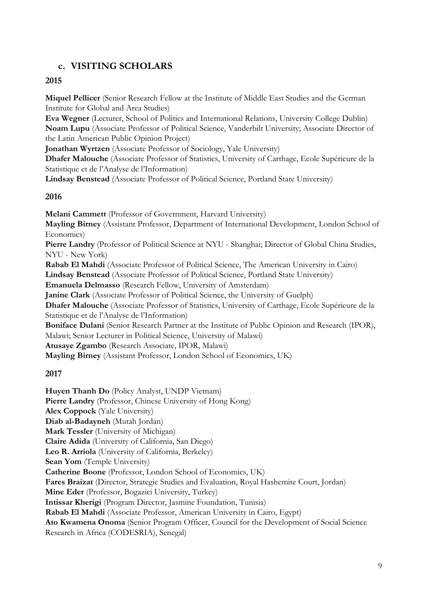# c. VISITING SCHOLARS

2015

Miquel Pellicer (Senior Research Fellow at the Institute of Middle East Studies and the German Institute for Global and Area Studies)

Eva Wegner (Lecturer, School of Politics and International Relations, University College Dublin) Noam Lupu (Associate Professor of Political Science, Vanderbilt University; Associate Director of the Latin American Public Opinion Project)

Jonathan Wyrtzen (Associate Professor of Sociology, Yale University)

Dhafer Malouche (Associate Professor of Statistics, University of Carthage, Ecole Supérieure de la Statistique et de l'Analyse de l'Information)

Lindsay Benstead (Associate Professor of Political Science, Portland State University)

# 2016

Melani Cammett (Professor of Government, Harvard University) Mayling Birney (Assistant Professor, Department of International Development, London School of Economics) Pierre Landry (Professor of Political Science at NYU - Shanghai; Director of Global China Studies, NYU - New York) Rabab El Mahdi (Associate Professor of Political Science, The American University in Cairo) Lindsay Benstead (Associate Professor of Political Science, Portland State University) Emanuela Delmasso (Research Fellow, University of Amsterdam) Janine Clark (Associate Professor of Political Science, the University of Guelph) Dhafer Malouche (Associate Professor of Statistics, University of Carthage, Ecole Supérieure de la Statistique et de l'Analyse de l'Information) Boniface Dulani (Senior Research Partner at the Institute of Public Opinion and Research (IPOR), Malawi; Senior Lecturer in Political Science, University of Malawi) Atusaye Zgambo (Research Associate, IPOR, Malawi) Mayling Birney (Assistant Professor, London School of Economics, UK)

# 2017

Huyen Thanh Do (Policy Analyst, UNDP Vietnam) Pierre Landry (Professor, Chinese University of Hong Kong) Alex Coppock (Yale University) Diab al-Badayneh (Mutah Jordan) Mark Tessler (University of Michigan) Claire Adida (University of California, San Diego) Leo R. Arriola (University of California, Berkeley) Sean Yom (Temple University) Catherine Boone (Professor, London School of Economics, UK) Fares Braizat (Director, Strategic Studies and Evaluation, Royal Hashemite Court, Jordan) Mine Eder (Professor, Bogazici University, Turkey) Intissar Kherigi (Program Director, Jasmine Foundation, Tunisia) Rabab El Mahdi (Associate Professor, American University in Cairo, Egypt) Ato Kwamena Onoma (Senior Program Officer, Council for the Development of Social Science Research in Africa (CODESRIA), Senegal)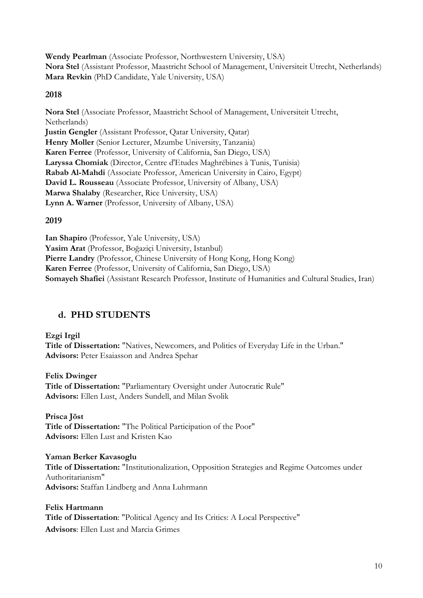Wendy Pearlman (Associate Professor, Northwestern University, USA) Nora Stel (Assistant Professor, Maastricht School of Management, Universiteit Utrecht, Netherlands) Mara Revkin (PhD Candidate, Yale University, USA)

# 2018

Nora Stel (Associate Professor, Maastricht School of Management, Universiteit Utrecht, Netherlands) Justin Gengler (Assistant Professor, Qatar University, Qatar) Henry Moller (Senior Lecturer, Mzumbe University, Tanzania) Karen Ferree (Professor, University of California, San Diego, USA) Laryssa Chomiak (Director, Centre d'Etudes Maghrébines à Tunis, Tunisia) Rabab Al-Mahdi (Associate Professor, American University in Cairo, Egypt) David L. Rousseau (Associate Professor, University of Albany, USA) Marwa Shalaby (Researcher, Rice University, USA) Lynn A. Warner (Professor, University of Albany, USA)

## 2019

Ian Shapiro (Professor, Yale University, USA) Yasim Arat (Professor, Boğaziçi University, Istanbul) Pierre Landry (Professor, Chinese University of Hong Kong, Hong Kong) Karen Ferree (Professor, University of California, San Diego, USA) Somayeh Shafiei (Assistant Research Professor, Institute of Humanities and Cultural Studies, Iran)

# d. PHD STUDENTS

#### Ezgi Irgil

Title of Dissertation: "Natives, Newcomers, and Politics of Everyday Life in the Urban." Advisors: Peter Esaiasson and Andrea Spehar

#### Felix Dwinger

Title of Dissertation: "Parliamentary Oversight under Autocratic Rule" Advisors: Ellen Lust, Anders Sundell, and Milan Svolik

Prisca Jöst Title of Dissertation: "The Political Participation of the Poor" Advisors: Ellen Lust and Kristen Kao

#### Yaman Berker Kavasoglu

Title of Dissertation: "Institutionalization, Opposition Strategies and Regime Outcomes under Authoritarianism" Advisors: Staffan Lindberg and Anna Luhrmann

# Felix Hartmann

Title of Dissertation: "Political Agency and Its Critics: A Local Perspective" Advisors: Ellen Lust and Marcia Grimes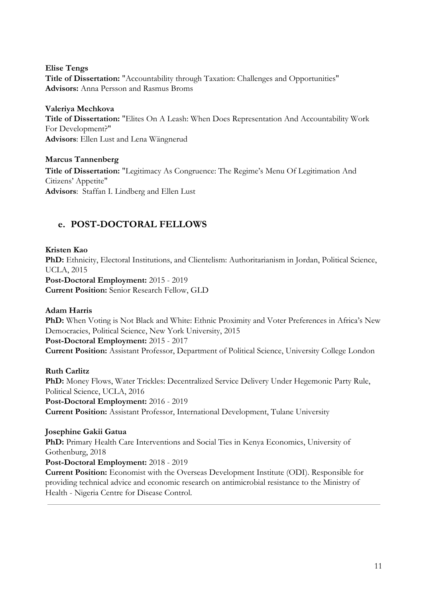Elise Tengs Title of Dissertation: "Accountability through Taxation: Challenges and Opportunities" Advisors: Anna Persson and Rasmus Broms

Valeriya Mechkova Title of Dissertation: "Elites On A Leash: When Does Representation And Accountability Work For Development?" Advisors: Ellen Lust and Lena Wängnerud

Marcus Tannenberg Title of Dissertation: "Legitimacy As Congruence: The Regime's Menu Of Legitimation And Citizens' Appetite" Advisors: Staffan I. Lindberg and Ellen Lust

# e. POST-DOCTORAL FELLOWS

Kristen Kao PhD: Ethnicity, Electoral Institutions, and Clientelism: Authoritarianism in Jordan, Political Science, UCLA, 2015 Post-Doctoral Employment: 2015 - 2019 Current Position: Senior Research Fellow, GLD

# Adam Harris

PhD: When Voting is Not Black and White: Ethnic Proximity and Voter Preferences in Africa's New Democracies, Political Science, New York University, 2015 Post-Doctoral Employment: 2015 - 2017 Current Position: Assistant Professor, Department of Political Science, University College London

# Ruth Carlitz

PhD: Money Flows, Water Trickles: Decentralized Service Delivery Under Hegemonic Party Rule, Political Science, UCLA, 2016 Post-Doctoral Employment: 2016 - 2019 Current Position: Assistant Professor, International Development, Tulane University

# Josephine Gakii Gatua

PhD: Primary Health Care Interventions and Social Ties in Kenya Economics, University of Gothenburg, 2018

Post-Doctoral Employment: 2018 - 2019

Current Position: Economist with the Overseas Development Institute (ODI). Responsible for providing technical advice and economic research on antimicrobial resistance to the Ministry of Health - Nigeria Centre for Disease Control.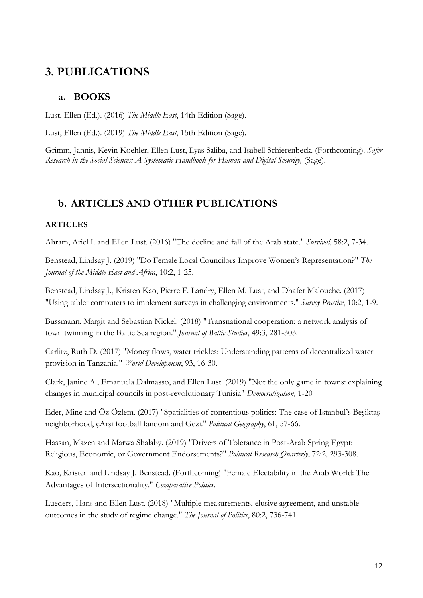# 3. PUBLICATIONS

# a. BOOKS

Lust, Ellen (Ed.). (2016) The Middle East, 14th Edition (Sage).

Lust, Ellen (Ed.). (2019) The Middle East, 15th Edition (Sage).

Grimm, Jannis, Kevin Koehler, Ellen Lust, Ilyas Saliba, and Isabell Schierenbeck. (Forthcoming). Safer Research in the Social Sciences: A Systematic Handbook for Human and Digital Security, (Sage).

# b. ARTICLES AND OTHER PUBLICATIONS

# **ARTICLES**

Ahram, Ariel I. and Ellen Lust. (2016) "The decline and fall of the Arab state." Survival, 58:2, 7-34.

Benstead, Lindsay J. (2019) "Do Female Local Councilors Improve Women's Representation?" The Journal of the Middle East and Africa, 10:2, 1-25.

Benstead, Lindsay J., Kristen Kao, Pierre F. Landry, Ellen M. Lust, and Dhafer Malouche. (2017) "Using tablet computers to implement surveys in challenging environments." Survey Practice, 10:2, 1-9.

Bussmann, Margit and Sebastian Nickel. (2018) "Transnational cooperation: a network analysis of town twinning in the Baltic Sea region." Journal of Baltic Studies, 49:3, 281-303.

Carlitz, Ruth D. (2017) "Money flows, water trickles: Understanding patterns of decentralized water provision in Tanzania." World Development, 93, 16-30.

Clark, Janine A., Emanuela Dalmasso, and Ellen Lust. (2019) "Not the only game in towns: explaining changes in municipal councils in post-revolutionary Tunisia" Democratization, 1-20

Eder, Mine and Öz Özlem. (2017) "Spatialities of contentious politics: The case of Istanbul's Beşiktaş neighborhood, çArşı football fandom and Gezi." Political Geography, 61, 57-66.

Hassan, Mazen and Marwa Shalaby. (2019) "Drivers of Tolerance in Post-Arab Spring Egypt: Religious, Economic, or Government Endorsements?" Political Research Quarterly, 72:2, 293-308.

Kao, Kristen and Lindsay J. Benstead. (Forthcoming) "Female Electability in the Arab World: The Advantages of Intersectionality." Comparative Politics.

Lueders, Hans and Ellen Lust. (2018) "Multiple measurements, elusive agreement, and unstable outcomes in the study of regime change." The Journal of Politics, 80:2, 736-741.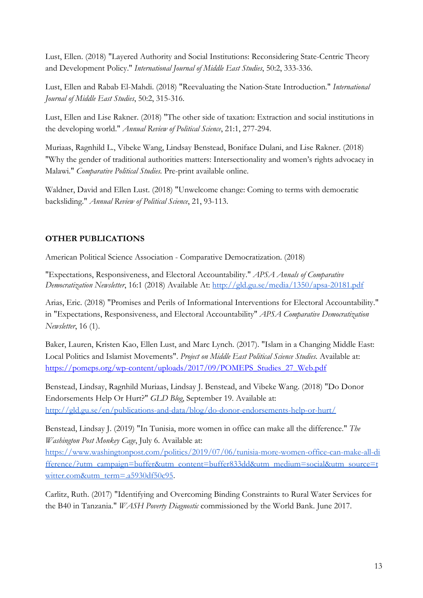Lust, Ellen. (2018) "Layered Authority and Social Institutions: Reconsidering State-Centric Theory and Development Policy." International Journal of Middle East Studies, 50:2, 333-336.

Lust, Ellen and Rabab El-Mahdi. (2018) "Reevaluating the Nation-State Introduction." International Journal of Middle East Studies, 50:2, 315-316.

Lust, Ellen and Lise Rakner. (2018) "The other side of taxation: Extraction and social institutions in the developing world." Annual Review of Political Science, 21:1, 277-294.

Muriaas, Ragnhild L., Vibeke Wang, Lindsay Benstead, Boniface Dulani, and Lise Rakner. (2018) "Why the gender of traditional authorities matters: Intersectionality and women's rights advocacy in Malawi." Comparative Political Studies. Pre-print available online.

Waldner, David and Ellen Lust. (2018) "Unwelcome change: Coming to terms with democratic backsliding." Annual Review of Political Science, 21, 93-113.

# OTHER PUBLICATIONS

American Political Science Association - Comparative Democratization. (2018)

"Expectations, Responsiveness, and Electoral Accountability." APSA Annals of Comparative Democratization Newsletter, 16:1 (2018) Available At: <http://gld.gu.se/media/1350/apsa-20181.pdf>

Arias, Eric. (2018) "Promises and Perils of Informational Interventions for Electoral Accountability." in "Expectations, Responsiveness, and Electoral Accountability" APSA Comparative Democratization Newsletter, 16 (1).

Baker, Lauren, Kristen Kao, Ellen Lust, and Marc Lynch. (2017). "Islam in a Changing Middle East: Local Politics and Islamist Movements". Project on Middle East Political Science Studies. Available at: [https://pomeps.org/wp-content/uploads/2017/09/POMEPS\\_Studies\\_27\\_Web.pdf](https://pomeps.org/wp-content/uploads/2017/09/POMEPS_Studies_27_Web.pdf)

Benstead, Lindsay, Ragnhild Muriaas, Lindsay J. Benstead, and Vibeke Wang. (2018) "Do Donor Endorsements Help Or Hurt?" GLD Blog, September 19. Available at: <http://gld.gu.se/en/publications-and-data/blog/do-donor-endorsements-help-or-hurt/>

Benstead, Lindsay J. (2019) "In Tunisia, more women in office can make all the difference." The Washington Post Monkey Cage, July 6. Available at:

[https://www.washingtonpost.com/politics/2019/07/06/tunisia-more-women-office-can-make-all-di](https://www.washingtonpost.com/politics/2019/07/06/tunisia-more-women-office-can-make-all-difference/?utm_campaign=buffer&utm_content=buffer833dd&utm_medium=social&utm_source=twitter.com&utm_term=.a5930df50c95) [fference/?utm\\_campaign=buffer&utm\\_content=buffer833dd&utm\\_medium=social&utm\\_source=t](https://www.washingtonpost.com/politics/2019/07/06/tunisia-more-women-office-can-make-all-difference/?utm_campaign=buffer&utm_content=buffer833dd&utm_medium=social&utm_source=twitter.com&utm_term=.a5930df50c95) [witter.com&utm\\_term=.a5930df50c95](https://www.washingtonpost.com/politics/2019/07/06/tunisia-more-women-office-can-make-all-difference/?utm_campaign=buffer&utm_content=buffer833dd&utm_medium=social&utm_source=twitter.com&utm_term=.a5930df50c95).

Carlitz, Ruth. (2017) "Identifying and Overcoming Binding Constraints to Rural Water Services for the B40 in Tanzania." WASH Poverty Diagnostic commissioned by the World Bank. June 2017.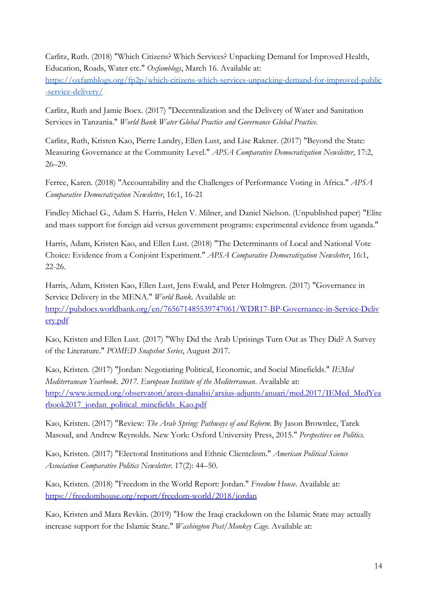Carlitz, Ruth. (2018) "Which Citizens? Which Services? Unpacking Demand for Improved Health, Education, Roads, Water etc." Oxfamblogs, March 16. Available at:

[https://oxfamblogs.org/fp2p/which-citizens-which-services-unpacking-demand-for-improved-public](https://oxfamblogs.org/fp2p/which-citizens-which-services-unpacking-demand-for-improved-public-service-delivery/) [-service-delivery/](https://oxfamblogs.org/fp2p/which-citizens-which-services-unpacking-demand-for-improved-public-service-delivery/)

Carlitz, Ruth and Jamie Boex. (2017) "Decentralization and the Delivery of Water and Sanitation Services in Tanzania." World Bank Water Global Practice and Governance Global Practice.

Carlitz, Ruth, Kristen Kao, Pierre Landry, Ellen Lust, and Lise Rakner. (2017) "Beyond the State: Measuring Governance at the Community Level." APSA Comparative Democratization Newsletter, 17:2, 26–29.

Ferree, Karen. (2018) "Accountability and the Challenges of Performance Voting in Africa." APSA Comparative Democratization Newsletter, 16:1, 16-21

Findley Michael G., Adam S. Harris, Helen V. Milner, and Daniel Nielson. (Unpublished paper) "Elite and mass support for foreign aid versus government programs: experimental evidence from uganda."

Harris, Adam, Kristen Kao, and Ellen Lust. (2018) "The Determinants of Local and National Vote Choice: Evidence from a Conjoint Experiment." APSA Comparative Democratization Newsletter, 16:1, 22-26.

Harris, Adam, Kristen Kao, Ellen Lust, Jens Ewald, and Peter Holmgren. (2017) "Governance in Service Delivery in the MENA." World Bank. Available at: [http://pubdocs.worldbank.org/en/765671485539747061/WDR17-BP-Governance-in-Service-Deliv](http://pubdocs.worldbank.org/en/765671485539747061/WDR17-BP-Governance-in-Service-Delivery.pdf) [ery.pdf](http://pubdocs.worldbank.org/en/765671485539747061/WDR17-BP-Governance-in-Service-Delivery.pdf)

Kao, Kristen and Ellen Lust. (2017) "Why Did the Arab Uprisings Turn Out as They Did? A Survey of the Literature." POMED Snapshot Series, August 2017.

Kao, Kristen. (2017) "Jordan: Negotiating Political, Economic, and Social Minefields." IEMed Mediterranean Yearbook. 2017. European Institute of the Mediterranean. Available at: [http://www.iemed.org/observatori/arees-danalisi/arxius-adjunts/anuari/med.2017/IEMed\\_MedYea](http://www.iemed.org/observatori/arees-danalisi/arxius-adjunts/anuari/med.2017/IEMed_MedYearbook2017_jordan_political_minefields_Kao.pdf) [rbook2017\\_jordan\\_political\\_minefields\\_Kao.pdf](http://www.iemed.org/observatori/arees-danalisi/arxius-adjunts/anuari/med.2017/IEMed_MedYearbook2017_jordan_political_minefields_Kao.pdf)

Kao, Kristen. (2017) "Review: The Arab Spring: Pathways of and Reform. By Jason Brownlee, Tarek Masoud, and Andrew Reynolds. New York: Oxford University Press, 2015." Perspectives on Politics.

Kao, Kristen. (2017) "Electoral Institutions and Ethnic Clientelism." American Political Science Association Comparative Politics Newsletter. 17(2): 44–50.

Kao, Kristen. (2018) "Freedom in the World Report: Jordan." Freedom House. Available at: <https://freedomhouse.org/report/freedom-world/2018/jordan>

Kao, Kristen and Mara Revkin. (2019) "How the Iraqi crackdown on the Islamic State may actually increase support for the Islamic State." Washington Post/Monkey Cage. Available at: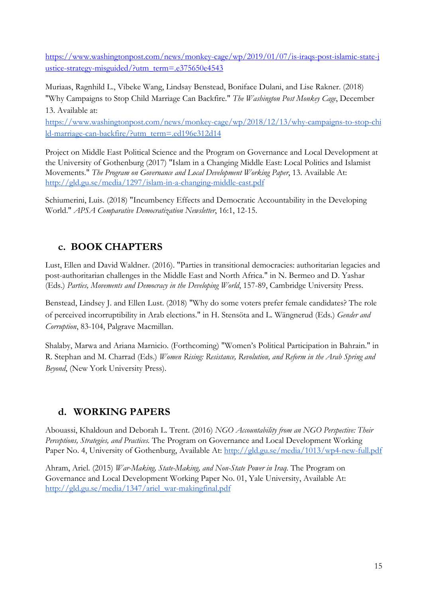[https://www.washingtonpost.com/news/monkey-cage/wp/2019/01/07/is-iraqs-post-islamic-state-j](https://www.washingtonpost.com/news/monkey-cage/wp/2019/01/07/is-iraqs-post-islamic-state-justice-strategy-misguided/?utm_term=.e375650e4543) [ustice-strategy-misguided/?utm\\_term=.e375650e4543](https://www.washingtonpost.com/news/monkey-cage/wp/2019/01/07/is-iraqs-post-islamic-state-justice-strategy-misguided/?utm_term=.e375650e4543)

Muriaas, Ragnhild L., Vibeke Wang, Lindsay Benstead, Boniface Dulani, and Lise Rakner. (2018) "Why Campaigns to Stop Child Marriage Can Backfire." The Washington Post Monkey Cage, December 13. Available at:

[https://www.washingtonpost.com/news/monkey-cage/wp/2018/12/13/why-campaigns-to-stop-chi](https://www.washingtonpost.com/news/monkey-cage/wp/2018/12/13/why-campaigns-to-stop-child-marriage-can-backfire/?utm_term=.ed196e312d14) [ld-marriage-can-backfire/?utm\\_term=.ed196e312d14](https://www.washingtonpost.com/news/monkey-cage/wp/2018/12/13/why-campaigns-to-stop-child-marriage-can-backfire/?utm_term=.ed196e312d14)

Project on Middle East Political Science and the Program on Governance and Local Development at the University of Gothenburg (2017) "Islam in a Changing Middle East: Local Politics and Islamist Movements." The Program on Governance and Local Development Working Paper, 13. Available At: <http://gld.gu.se/media/1297/islam-in-a-changing-middle-east.pdf>

Schiumerini, Luis. (2018) "Incumbency Effects and Democratic Accountability in the Developing World." APSA Comparative Democratization Newsletter, 16:1, 12-15.

# c. BOOK CHAPTERS

Lust, Ellen and David Waldner. (2016). "Parties in transitional democracies: authoritarian legacies and post-authoritarian challenges in the Middle East and North Africa." in N. Bermeo and D. Yashar (Eds.) Parties, Movements and Democracy in the Developing World, 157-89, Cambridge University Press.

Benstead, Lindsey J. and Ellen Lust. (2018) "Why do some voters prefer female candidates? The role of perceived incorruptibility in Arab elections." in H. Stensöta and L. Wängnerud (Eds.) Gender and Corruption, 83-104, Palgrave Macmillan.

Shalaby, Marwa and Ariana Marnicio. (Forthcoming) "Women's Political Participation in Bahrain." in R. Stephan and M. Charrad (Eds.) Women Rising: Resistance, Revolution, and Reform in the Arab Spring and Beyond, (New York University Press).

# d. WORKING PAPERS

Abouassi, Khaldoun and Deborah L. Trent. (2016) NGO Accountability from an NGO Perspective: Their Perceptions, Strategies, and Practices. The Program on Governance and Local Development Working Paper No. 4, University of Gothenburg, Available At: <http://gld.gu.se/media/1013/wp4-new-full.pdf>

Ahram, Ariel. (2015) War-Making, State-Making, and Non-State Power in Iraq. The Program on Governance and Local Development Working Paper No. 01, Yale University, Available At: [http://gld.gu.se/media/1347/ariel\\_war-makingfinal.pdf](http://gld.gu.se/media/1347/ariel_war-makingfinal.pdf)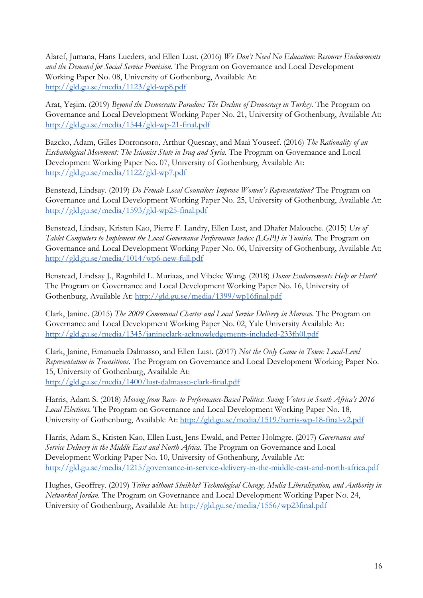Alaref, Jumana, Hans Lueders, and Ellen Lust. (2016) We Don't Need No Education: Resource Endowments and the Demand for Social Service Provision. The Program on Governance and Local Development Working Paper No. 08, University of Gothenburg, Available At: <http://gld.gu.se/media/1123/gld-wp8.pdf>

Arat, Yeşim. (2019) Beyond the Democratic Paradox: The Decline of Democracy in Turkey. The Program on Governance and Local Development Working Paper No. 21, University of Gothenburg, Available At: <http://gld.gu.se/media/1544/gld-wp-21-final.pdf>

Bazcko, Adam, Gilles Dorronsoro, Arthur Quesnay, and Maaï Youseef. (2016) The Rationality of an Eschatological Movement: The Islamist State in Iraq and Syria. The Program on Governance and Local Development Working Paper No. 07, University of Gothenburg, Available At: <http://gld.gu.se/media/1122/gld-wp7.pdf>

Benstead, Lindsay. (2019) Do Female Local Councilors Improve Women's Representation? The Program on Governance and Local Development Working Paper No. 25, University of Gothenburg, Available At: <http://gld.gu.se/media/1593/gld-wp25-final.pdf>

Benstead, Lindsay, Kristen Kao, Pierre F. Landry, Ellen Lust, and Dhafer Malouche. (2015) Use of Tablet Computers to Implement the Local Governance Performance Index (LGPI) in Tunisia. The Program on Governance and Local Development Working Paper No. 06, University of Gothenburg, Available At: <http://gld.gu.se/media/1014/wp6-new-full.pdf>

Benstead, Lindsay J., Ragnhild L. Muriaas, and Vibeke Wang. (2018) Donor Endorsements Help or Hurt? The Program on Governance and Local Development Working Paper No. 16, University of Gothenburg, Available At:<http://gld.gu.se/media/1399/wp16final.pdf>

Clark, Janine. (2015) The 2009 Communal Charter and Local Service Delivery in Morocco. The Program on Governance and Local Development Working Paper No. 02, Yale University Available At: <http://gld.gu.se/media/1345/janineclark-acknowledgements-included-233fh0l.pdf>

Clark, Janine, Emanuela Dalmasso, and Ellen Lust. (2017) Not the Only Game in Town: Local-Level Representation in Transitions. The Program on Governance and Local Development Working Paper No. 15, University of Gothenburg, Available At: <http://gld.gu.se/media/1400/lust-dalmasso-clark-final.pdf>

Harris, Adam S. (2018) Moving from Race- to Performance-Based Politics: Swing Voters in South Africa's 2016 Local Elections. The Program on Governance and Local Development Working Paper No. 18, University of Gothenburg, Available At: <http://gld.gu.se/media/1519/harris-wp-18-final-v2.pdf>

Harris, Adam S., Kristen Kao, Ellen Lust, Jens Ewald, and Petter Holmgre. (2017) Governance and Service Delivery in the Middle East and North Africa. The Program on Governance and Local Development Working Paper No. 10, University of Gothenburg, Available At: <http://gld.gu.se/media/1215/governance-in-service-delivery-in-the-middle-east-and-north-africa.pdf>

Hughes, Geoffrey. (2019) Tribes without Sheikhs? Technological Change, Media Liberalization, and Authority in Networked Jordan. The Program on Governance and Local Development Working Paper No. 24, University of Gothenburg, Available At: <http://gld.gu.se/media/1556/wp23final.pdf>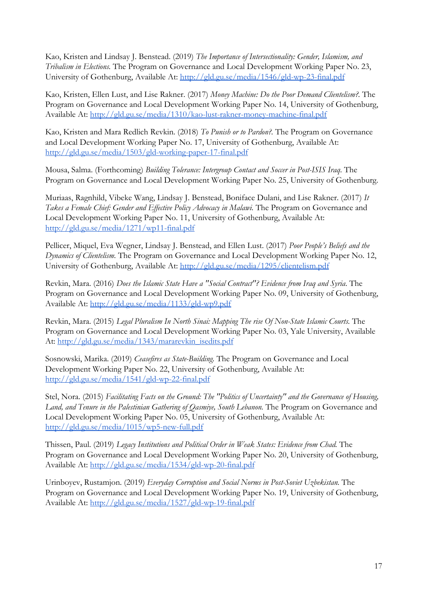Kao, Kristen and Lindsay J. Benstead. (2019) The Importance of Intersectionality: Gender, Islamism, and Tribalism in Elections. The Program on Governance and Local Development Working Paper No. 23, University of Gothenburg, Available At: <http://gld.gu.se/media/1546/gld-wp-23-final.pdf>

Kao, Kristen, Ellen Lust, and Lise Rakner. (2017) Money Machine: Do the Poor Demand Clientelism?. The Program on Governance and Local Development Working Paper No. 14, University of Gothenburg, Available At: <http://gld.gu.se/media/1310/kao-lust-rakner-money-machine-final.pdf>

Kao, Kristen and Mara Redlich Revkin. (2018) To Punish or to Pardon?. The Program on Governance and Local Development Working Paper No. 17, University of Gothenburg, Available At: <http://gld.gu.se/media/1503/gld-working-paper-17-final.pdf>

Mousa, Salma. (Forthcoming) Building Tolerance: Intergroup Contact and Soccer in Post-ISIS Iraq. The Program on Governance and Local Development Working Paper No. 25, University of Gothenburg.

Muriaas, Ragnhild, Vibeke Wang, Lindsay J. Benstead, Boniface Dulani, and Lise Rakner. (2017) It Takes a Female Chief: Gender and Effective Policy Advocacy in Malawi. The Program on Governance and Local Development Working Paper No. 11, University of Gothenburg, Available At: <http://gld.gu.se/media/1271/wp11-final.pdf>

Pellicer, Miquel, Eva Wegner, Lindsay J. Benstead, and Ellen Lust. (2017) Poor People's Beliefs and the Dynamics of Clientelism. The Program on Governance and Local Development Working Paper No. 12, University of Gothenburg, Available At: <http://gld.gu.se/media/1295/clientelism.pdf>

Revkin, Mara. (2016) Does the Islamic State Have a "Social Contract"? Evidence from Iraq and Syria. The Program on Governance and Local Development Working Paper No. 09, University of Gothenburg, Available At: <http://gld.gu.se/media/1133/gld-wp9.pdf>

Revkin, Mara. (2015) Legal Pluralism In North Sinai: Mapping The rise Of Non-State Islamic Courts. The Program on Governance and Local Development Working Paper No. 03, Yale University, Available At: [http://gld.gu.se/media/1343/mararevkin\\_isedits.pdf](http://gld.gu.se/media/1343/mararevkin_isedits.pdf)

Sosnowski, Marika. (2019) Ceasefires as State-Building. The Program on Governance and Local Development Working Paper No. 22, University of Gothenburg, Available At: <http://gld.gu.se/media/1541/gld-wp-22-final.pdf>

Stel, Nora. (2015) Facilitating Facts on the Ground: The "Politics of Uncertainty" and the Governance of Housing, Land, and Tenure in the Palestinian Gathering of Qasmiye, South Lebanon. The Program on Governance and Local Development Working Paper No. 05, University of Gothenburg, Available At: <http://gld.gu.se/media/1015/wp5-new-full.pdf>

Thissen, Paul. (2019) Legacy Institutions and Political Order in Weak States: Evidence from Chad. The Program on Governance and Local Development Working Paper No. 20, University of Gothenburg, Available At: <http://gld.gu.se/media/1534/gld-wp-20-final.pdf>

Urinboyev, Rustamjon. (2019) Everyday Corruption and Social Norms in Post-Soviet Uzbekistan. The Program on Governance and Local Development Working Paper No. 19, University of Gothenburg, Available At: <http://gld.gu.se/media/1527/gld-wp-19-final.pdf>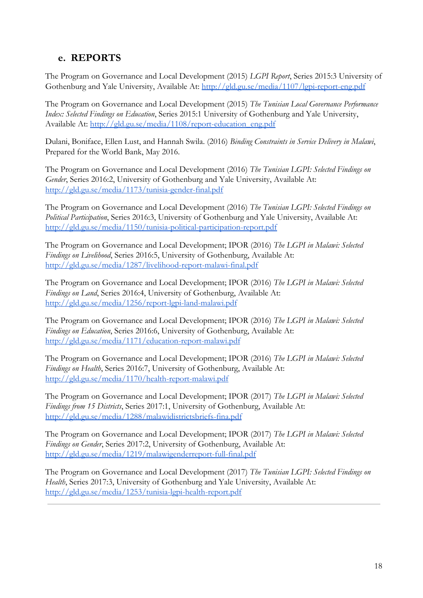# e. REPORTS

The Program on Governance and Local Development (2015) LGPI Report, Series 2015:3 University of Gothenburg and Yale University, Available At:<http://gld.gu.se/media/1107/lgpi-report-eng.pdf>

The Program on Governance and Local Development (2015) The Tunisian Local Governance Performance Index: Selected Findings on Education, Series 2015:1 University of Gothenburg and Yale University, Available At: [http://gld.gu.se/media/1108/report-education\\_eng.pdf](http://gld.gu.se/media/1108/report-education_eng.pdf)

Dulani, Boniface, Ellen Lust, and Hannah Swila. (2016) Binding Constraints in Service Delivery in Malawi, Prepared for the World Bank, May 2016.

The Program on Governance and Local Development (2016) The Tunisian LGPI: Selected Findings on Gender, Series 2016:2, University of Gothenburg and Yale University, Available At: <http://gld.gu.se/media/1173/tunisia-gender-final.pdf>

The Program on Governance and Local Development (2016) The Tunisian LGPI: Selected Findings on Political Participation, Series 2016:3, University of Gothenburg and Yale University, Available At: <http://gld.gu.se/media/1150/tunisia-political-participation-report.pdf>

The Program on Governance and Local Development; IPOR (2016) The LGPI in Malawi: Selected Findings on Livelihood, Series 2016:5, University of Gothenburg, Available At: <http://gld.gu.se/media/1287/livelihood-report-malawi-final.pdf>

The Program on Governance and Local Development; IPOR (2016) The LGPI in Malawi: Selected Findings on Land, Series 2016:4, University of Gothenburg, Available At: <http://gld.gu.se/media/1256/report-lgpi-land-malawi.pdf>

The Program on Governance and Local Development; IPOR (2016) The LGPI in Malawi: Selected Findings on Education, Series 2016:6, University of Gothenburg, Available At: <http://gld.gu.se/media/1171/education-report-malawi.pdf>

The Program on Governance and Local Development; IPOR (2016) The LGPI in Malawi: Selected Findings on Health, Series 2016:7, University of Gothenburg, Available At: <http://gld.gu.se/media/1170/health-report-malawi.pdf>

The Program on Governance and Local Development; IPOR (2017) The LGPI in Malawi: Selected Findings from 15 Districts, Series 2017:1, University of Gothenburg, Available At: <http://gld.gu.se/media/1288/malawidistrictsbriefs-fina.pdf>

The Program on Governance and Local Development; IPOR (2017) The LGPI in Malawi: Selected Findings on Gender, Series 2017:2, University of Gothenburg, Available At: <http://gld.gu.se/media/1219/malawigenderreport-full-final.pdf>

The Program on Governance and Local Development (2017) The Tunisian LGPI: Selected Findings on Health, Series 2017:3, University of Gothenburg and Yale University, Available At: <http://gld.gu.se/media/1253/tunisia-lgpi-health-report.pdf>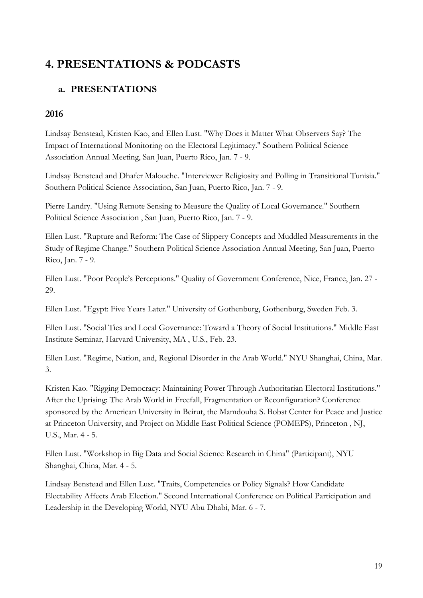# 4. PRESENTATIONS & PODCASTS

# a. PRESENTATIONS

# 2016

Lindsay Benstead, Kristen Kao, and Ellen Lust. "Why Does it Matter What Observers Say? The Impact of International Monitoring on the Electoral Legitimacy." Southern Political Science Association Annual Meeting, San Juan, Puerto Rico, Jan. 7 - 9.

Lindsay Benstead and Dhafer Malouche. "Interviewer Religiosity and Polling in Transitional Tunisia." Southern Political Science Association, San Juan, Puerto Rico, Jan. 7 - 9.

Pierre Landry. "Using Remote Sensing to Measure the Quality of Local Governance." Southern Political Science Association , San Juan, Puerto Rico, Jan. 7 - 9.

Ellen Lust. "Rupture and Reform: The Case of Slippery Concepts and Muddled Measurements in the Study of Regime Change." Southern Political Science Association Annual Meeting, San Juan, Puerto Rico, Jan. 7 - 9.

Ellen Lust. "Poor People's Perceptions." Quality of Government Conference, Nice, France, Jan. 27 - 29.

Ellen Lust. "Egypt: Five Years Later." University of Gothenburg, Gothenburg, Sweden Feb. 3.

Ellen Lust. "Social Ties and Local Governance: Toward a Theory of Social Institutions." Middle East Institute Seminar, Harvard University, MA , U.S., Feb. 23.

Ellen Lust. "Regime, Nation, and, Regional Disorder in the Arab World." NYU Shanghai, China, Mar. 3.

Kristen Kao. "Rigging Democracy: Maintaining Power Through Authoritarian Electoral Institutions." After the Uprising: The Arab World in Freefall, Fragmentation or Reconfiguration? Conference sponsored by the American University in Beirut, the Mamdouha S. Bobst Center for Peace and Justice at Princeton University, and Project on Middle East Political Science (POMEPS), Princeton , NJ, U.S., Mar. 4 - 5.

Ellen Lust. "Workshop in Big Data and Social Science Research in China" (Participant), NYU Shanghai, China, Mar. 4 - 5.

Lindsay Benstead and Ellen Lust. "Traits, Competencies or Policy Signals? How Candidate Electability Affects Arab Election." Second International Conference on Political Participation and Leadership in the Developing World, NYU Abu Dhabi, Mar. 6 - 7.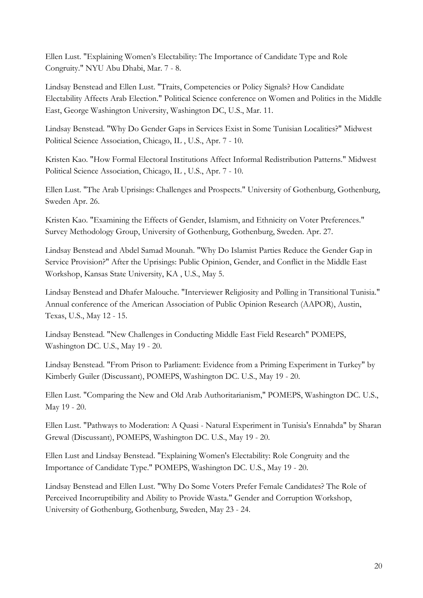Ellen Lust. "Explaining Women's Electability: The Importance of Candidate Type and Role Congruity." NYU Abu Dhabi, Mar. 7 - 8.

Lindsay Benstead and Ellen Lust. "Traits, Competencies or Policy Signals? How Candidate Electability Affects Arab Election." Political Science conference on Women and Politics in the Middle East, George Washington University, Washington DC, U.S., Mar. 11.

Lindsay Benstead. "Why Do Gender Gaps in Services Exist in Some Tunisian Localities?" Midwest Political Science Association, Chicago, IL , U.S., Apr. 7 - 10.

Kristen Kao. "How Formal Electoral Institutions Affect Informal Redistribution Patterns." Midwest Political Science Association, Chicago, IL , U.S., Apr. 7 - 10.

Ellen Lust. "The Arab Uprisings: Challenges and Prospects." University of Gothenburg, Gothenburg, Sweden Apr. 26.

Kristen Kao. "Examining the Effects of Gender, Islamism, and Ethnicity on Voter Preferences." Survey Methodology Group, University of Gothenburg, Gothenburg, Sweden. Apr. 27.

Lindsay Benstead and Abdel Samad Mounah. "Why Do Islamist Parties Reduce the Gender Gap in Service Provision?" After the Uprisings: Public Opinion, Gender, and Conflict in the Middle East Workshop, Kansas State University, KA , U.S., May 5.

Lindsay Benstead and Dhafer Malouche. "Interviewer Religiosity and Polling in Transitional Tunisia." Annual conference of the American Association of Public Opinion Research (AAPOR), Austin, Texas, U.S., May 12 - 15.

Lindsay Benstead. "New Challenges in Conducting Middle East Field Research" POMEPS, Washington DC. U.S., May 19 - 20.

Lindsay Benstead. "From Prison to Parliament: Evidence from a Priming Experiment in Turkey" by Kimberly Guiler (Discussant), POMEPS, Washington DC. U.S., May 19 - 20.

Ellen Lust. "Comparing the New and Old Arab Authoritarianism," POMEPS, Washington DC. U.S., May 19 - 20.

Ellen Lust. "Pathways to Moderation: A Quasi - Natural Experiment in Tunisia's Ennahda" by Sharan Grewal (Discussant), POMEPS, Washington DC. U.S., May 19 - 20.

Ellen Lust and Lindsay Benstead. "Explaining Women's Electability: Role Congruity and the Importance of Candidate Type." POMEPS, Washington DC. U.S., May 19 - 20.

Lindsay Benstead and Ellen Lust. "Why Do Some Voters Prefer Female Candidates? The Role of Perceived Incorruptibility and Ability to Provide Wasta." Gender and Corruption Workshop, University of Gothenburg, Gothenburg, Sweden, May 23 - 24.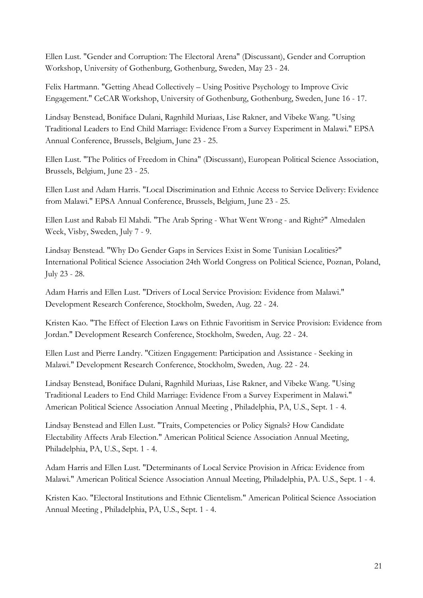Ellen Lust. "Gender and Corruption: The Electoral Arena" (Discussant), Gender and Corruption Workshop, University of Gothenburg, Gothenburg, Sweden, May 23 - 24.

Felix Hartmann. "Getting Ahead Collectively – Using Positive Psychology to Improve Civic Engagement." CeCAR Workshop, University of Gothenburg, Gothenburg, Sweden, June 16 - 17.

Lindsay Benstead, Boniface Dulani, Ragnhild Muriaas, Lise Rakner, and Vibeke Wang. "Using Traditional Leaders to End Child Marriage: Evidence From a Survey Experiment in Malawi." EPSA Annual Conference, Brussels, Belgium, June 23 - 25.

Ellen Lust. "The Politics of Freedom in China" (Discussant), European Political Science Association, Brussels, Belgium, June 23 - 25.

Ellen Lust and Adam Harris. "Local Discrimination and Ethnic Access to Service Delivery: Evidence from Malawi." EPSA Annual Conference, Brussels, Belgium, June 23 - 25.

Ellen Lust and Rabab El Mahdi. "The Arab Spring - What Went Wrong - and Right?" Almedalen Week, Visby, Sweden, July 7 - 9.

Lindsay Benstead. "Why Do Gender Gaps in Services Exist in Some Tunisian Localities?" International Political Science Association 24th World Congress on Political Science, Poznan, Poland, July 23 - 28.

Adam Harris and Ellen Lust. "Drivers of Local Service Provision: Evidence from Malawi." Development Research Conference, Stockholm, Sweden, Aug. 22 - 24.

Kristen Kao. "The Effect of Election Laws on Ethnic Favoritism in Service Provision: Evidence from Jordan." Development Research Conference, Stockholm, Sweden, Aug. 22 - 24.

Ellen Lust and Pierre Landry. "Citizen Engagement: Participation and Assistance - Seeking in Malawi." Development Research Conference, Stockholm, Sweden, Aug. 22 - 24.

Lindsay Benstead, Boniface Dulani, Ragnhild Muriaas, Lise Rakner, and Vibeke Wang. "Using Traditional Leaders to End Child Marriage: Evidence From a Survey Experiment in Malawi." American Political Science Association Annual Meeting , Philadelphia, PA, U.S., Sept. 1 - 4.

Lindsay Benstead and Ellen Lust. "Traits, Competencies or Policy Signals? How Candidate Electability Affects Arab Election." American Political Science Association Annual Meeting, Philadelphia, PA, U.S., Sept. 1 - 4.

Adam Harris and Ellen Lust. "Determinants of Local Service Provision in Africa: Evidence from Malawi." American Political Science Association Annual Meeting, Philadelphia, PA. U.S., Sept. 1 - 4.

Kristen Kao. "Electoral Institutions and Ethnic Clientelism." American Political Science Association Annual Meeting , Philadelphia, PA, U.S., Sept. 1 - 4.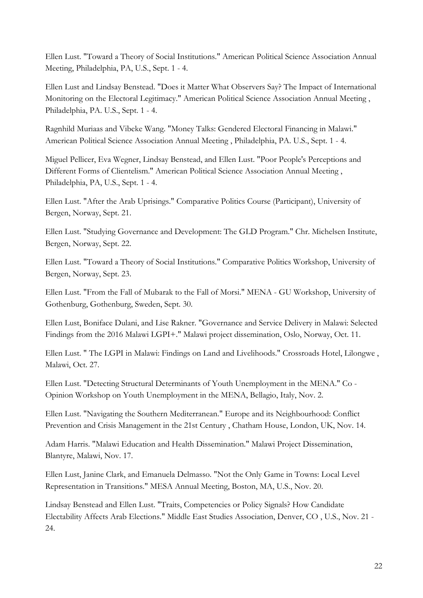Ellen Lust. "Toward a Theory of Social Institutions." American Political Science Association Annual Meeting, Philadelphia, PA, U.S., Sept. 1 - 4.

Ellen Lust and Lindsay Benstead. "Does it Matter What Observers Say? The Impact of International Monitoring on the Electoral Legitimacy." American Political Science Association Annual Meeting , Philadelphia, PA. U.S., Sept. 1 - 4.

Ragnhild Muriaas and Vibeke Wang. "Money Talks: Gendered Electoral Financing in Malawi." American Political Science Association Annual Meeting , Philadelphia, PA. U.S., Sept. 1 - 4.

Miguel Pellicer, Eva Wegner, Lindsay Benstead, and Ellen Lust. "Poor People's Perceptions and Different Forms of Clientelism." American Political Science Association Annual Meeting , Philadelphia, PA, U.S., Sept. 1 - 4.

Ellen Lust. "After the Arab Uprisings." Comparative Politics Course (Participant), University of Bergen, Norway, Sept. 21.

Ellen Lust. "Studying Governance and Development: The GLD Program." Chr. Michelsen Institute, Bergen, Norway, Sept. 22.

Ellen Lust. "Toward a Theory of Social Institutions." Comparative Politics Workshop, University of Bergen, Norway, Sept. 23.

Ellen Lust. "From the Fall of Mubarak to the Fall of Morsi." MENA - GU Workshop, University of Gothenburg, Gothenburg, Sweden, Sept. 30.

Ellen Lust, Boniface Dulani, and Lise Rakner. "Governance and Service Delivery in Malawi: Selected Findings from the 2016 Malawi LGPI+." Malawi project dissemination, Oslo, Norway, Oct. 11.

Ellen Lust. " The LGPI in Malawi: Findings on Land and Livelihoods." Crossroads Hotel, Lilongwe , Malawi, Oct. 27.

Ellen Lust. "Detecting Structural Determinants of Youth Unemployment in the MENA." Co - Opinion Workshop on Youth Unemployment in the MENA, Bellagio, Italy, Nov. 2.

Ellen Lust. "Navigating the Southern Mediterranean." Europe and its Neighbourhood: Conflict Prevention and Crisis Management in the 21st Century , Chatham House, London, UK, Nov. 14.

Adam Harris. "Malawi Education and Health Dissemination." Malawi Project Dissemination, Blantyre, Malawi, Nov. 17.

Ellen Lust, Janine Clark, and Emanuela Delmasso. "Not the Only Game in Towns: Local Level Representation in Transitions." MESA Annual Meeting, Boston, MA, U.S., Nov. 20.

Lindsay Benstead and Ellen Lust. "Traits, Competencies or Policy Signals? How Candidate Electability Affects Arab Elections." Middle East Studies Association, Denver, CO , U.S., Nov. 21 - 24.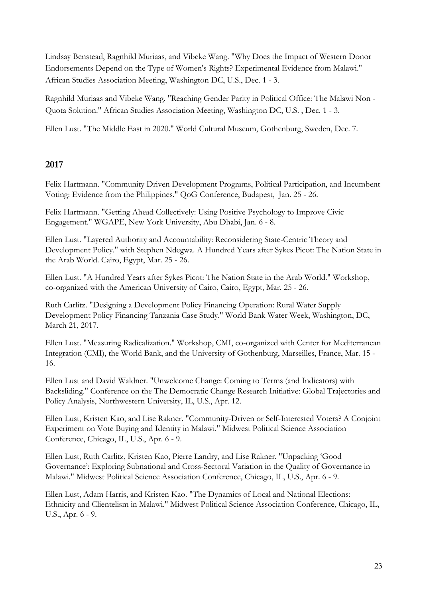Lindsay Benstead, Ragnhild Muriaas, and Vibeke Wang. "Why Does the Impact of Western Donor Endorsements Depend on the Type of Women's Rights? Experimental Evidence from Malawi." African Studies Association Meeting, Washington DC, U.S., Dec. 1 - 3.

Ragnhild Muriaas and Vibeke Wang. "Reaching Gender Parity in Political Office: The Malawi Non - Quota Solution." African Studies Association Meeting, Washington DC, U.S. , Dec. 1 - 3.

Ellen Lust. "The Middle East in 2020." World Cultural Museum, Gothenburg, Sweden, Dec. 7.

# 2017

Felix Hartmann. "Community Driven Development Programs, Political Participation, and Incumbent Voting: Evidence from the Philippines." QoG Conference, Budapest, Jan. 25 - 26.

Felix Hartmann. "Getting Ahead Collectively: Using Positive Psychology to Improve Civic Engagement." WGAPE, New York University, Abu Dhabi, Jan. 6 - 8.

Ellen Lust. "Layered Authority and Accountability: Reconsidering State-Centric Theory and Development Policy." with Stephen Ndegwa. A Hundred Years after Sykes Picot: The Nation State in the Arab World. Cairo, Egypt, Mar. 25 - 26.

Ellen Lust. "A Hundred Years after Sykes Picot: The Nation State in the Arab World." Workshop, co-organized with the American University of Cairo, Cairo, Egypt, Mar. 25 - 26.

Ruth Carlitz. "Designing a Development Policy Financing Operation: Rural Water Supply Development Policy Financing Tanzania Case Study." World Bank Water Week, Washington, DC, March 21, 2017.

Ellen Lust. "Measuring Radicalization." Workshop, CMI, co-organized with Center for Mediterranean Integration (CMI), the World Bank, and the University of Gothenburg, Marseilles, France, Mar. 15 - 16.

Ellen Lust and David Waldner. "Unwelcome Change: Coming to Terms (and Indicators) with Backsliding." Conference on the The Democratic Change Research Initiative: Global Trajectories and Policy Analysis, Northwestern University, IL, U.S., Apr. 12.

Ellen Lust, Kristen Kao, and Lise Rakner. "Community-Driven or Self-Interested Voters? A Conjoint Experiment on Vote Buying and Identity in Malawi." Midwest Political Science Association Conference, Chicago, IL, U.S., Apr. 6 - 9.

Ellen Lust, Ruth Carlitz, Kristen Kao, Pierre Landry, and Lise Rakner. "Unpacking 'Good Governance': Exploring Subnational and Cross-Sectoral Variation in the Quality of Governance in Malawi." Midwest Political Science Association Conference, Chicago, IL, U.S., Apr. 6 - 9.

Ellen Lust, Adam Harris, and Kristen Kao. "The Dynamics of Local and National Elections: Ethnicity and Clientelism in Malawi." Midwest Political Science Association Conference, Chicago, IL, U.S., Apr. 6 - 9.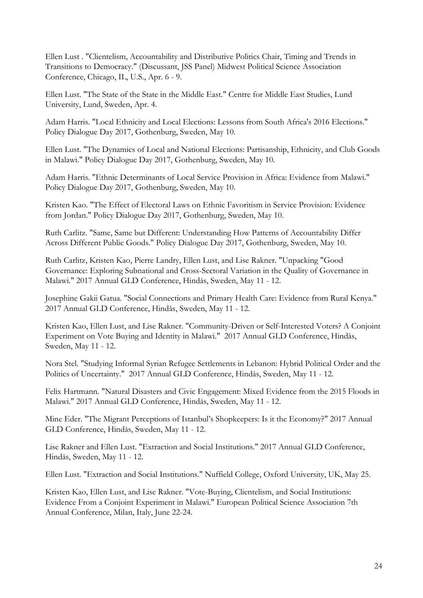Ellen Lust . "Clientelism, Accountability and Distributive Politics Chair, Timing and Trends in Transitions to Democracy." (Discussant, JSS Panel) Midwest Political Science Association Conference, Chicago, IL, U.S., Apr. 6 - 9.

Ellen Lust. "The State of the State in the Middle East." Centre for Middle East Studies, Lund University, Lund, Sweden, Apr. 4.

Adam Harris. "Local Ethnicity and Local Elections: Lessons from South Africa's 2016 Elections." Policy Dialogue Day 2017, Gothenburg, Sweden, May 10.

Ellen Lust. "The Dynamics of Local and National Elections: Partisanship, Ethnicity, and Club Goods in Malawi." Policy Dialogue Day 2017, Gothenburg, Sweden, May 10.

Adam Harris. "Ethnic Determinants of Local Service Provision in Africa: Evidence from Malawi." Policy Dialogue Day 2017, Gothenburg, Sweden, May 10.

Kristen Kao. "The Effect of Electoral Laws on Ethnic Favoritism in Service Provision: Evidence from Jordan." Policy Dialogue Day 2017, Gothenburg, Sweden, May 10.

Ruth Carlitz. "Same, Same but Different: Understanding How Patterns of Accountability Differ Across Different Public Goods." Policy Dialogue Day 2017, Gothenburg, Sweden, May 10.

Ruth Carlitz, Kristen Kao, Pierre Landry, Ellen Lust, and Lise Rakner. "Unpacking "Good Governance: Exploring Subnational and Cross-Sectoral Variation in the Quality of Governance in Malawi." 2017 Annual GLD Conference, Hindås, Sweden, May 11 - 12.

Josephine Gakii Gatua. "Social Connections and Primary Health Care: Evidence from Rural Kenya." 2017 Annual GLD Conference, Hindås, Sweden, May 11 - 12.

Kristen Kao, Ellen Lust, and Lise Rakner. "Community-Driven or Self-Interested Voters? A Conjoint Experiment on Vote Buying and Identity in Malawi." 2017 Annual GLD Conference, Hindås, Sweden, May 11 - 12.

Nora Stel. "Studying Informal Syrian Refugee Settlements in Lebanon: Hybrid Political Order and the Politics of Uncertainty." 2017 Annual GLD Conference, Hindås, Sweden, May 11 - 12.

Felix Hartmann. "Natural Disasters and Civic Engagement: Mixed Evidence from the 2015 Floods in Malawi." 2017 Annual GLD Conference, Hindås, Sweden, May 11 - 12.

Mine Eder. "The Migrant Perceptions of Istanbul's Shopkeepers: Is it the Economy?" 2017 Annual GLD Conference, Hindås, Sweden, May 11 - 12.

Lise Rakner and Ellen Lust. "Extraction and Social Institutions." 2017 Annual GLD Conference, Hindås, Sweden, May 11 - 12.

Ellen Lust. "Extraction and Social Institutions." Nuffield College, Oxford University, UK, May 25.

Kristen Kao, Ellen Lust, and Lise Rakner. "Vote-Buying, Clientelism, and Social Institutions: Evidence From a Conjoint Experiment in Malawi." European Political Science Association 7th Annual Conference, Milan, Italy, June 22-24.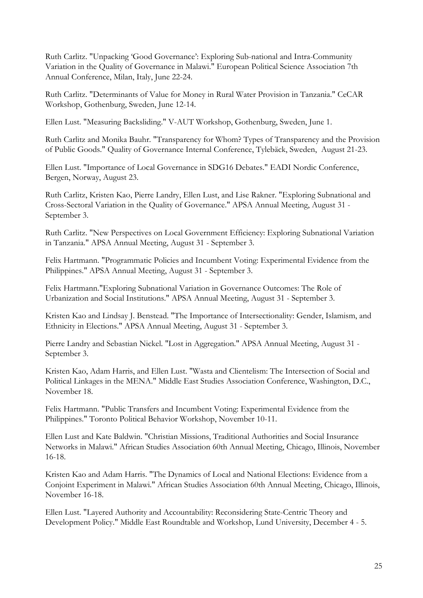Ruth Carlitz. "Unpacking 'Good Governance': Exploring Sub-national and Intra-Community Variation in the Quality of Governance in Malawi." European Political Science Association 7th Annual Conference, Milan, Italy, June 22-24.

Ruth Carlitz. "Determinants of Value for Money in Rural Water Provision in Tanzania." CeCAR Workshop, Gothenburg, Sweden, June 12-14.

Ellen Lust. "Measuring Backsliding." V-AUT Workshop, Gothenburg, Sweden, June 1.

Ruth Carlitz and Monika Bauhr. "Transparency for Whom? Types of Transparency and the Provision of Public Goods." Quality of Governance Internal Conference, Tylebäck, Sweden, August 21-23.

Ellen Lust. "Importance of Local Governance in SDG16 Debates." EADI Nordic Conference, Bergen, Norway, August 23.

Ruth Carlitz, Kristen Kao, Pierre Landry, Ellen Lust, and Lise Rakner. "Exploring Subnational and Cross-Sectoral Variation in the Quality of Governance." APSA Annual Meeting, August 31 - September 3.

Ruth Carlitz. "New Perspectives on Local Government Efficiency: Exploring Subnational Variation in Tanzania." APSA Annual Meeting, August 31 - September 3.

Felix Hartmann. "Programmatic Policies and Incumbent Voting: Experimental Evidence from the Philippines." APSA Annual Meeting, August 31 - September 3.

Felix Hartmann."Exploring Subnational Variation in Governance Outcomes: The Role of Urbanization and Social Institutions." APSA Annual Meeting, August 31 - September 3.

Kristen Kao and Lindsay J. Benstead. "The Importance of Intersectionality: Gender, Islamism, and Ethnicity in Elections." APSA Annual Meeting, August 31 - September 3.

Pierre Landry and Sebastian Nickel. "Lost in Aggregation." APSA Annual Meeting, August 31 - September 3.

Kristen Kao, Adam Harris, and Ellen Lust. "Wasta and Clientelism: The Intersection of Social and Political Linkages in the MENA." Middle East Studies Association Conference, Washington, D.C., November 18.

Felix Hartmann. "Public Transfers and Incumbent Voting: Experimental Evidence from the Philippines." Toronto Political Behavior Workshop, November 10-11.

Ellen Lust and Kate Baldwin. "Christian Missions, Traditional Authorities and Social Insurance Networks in Malawi." African Studies Association 60th Annual Meeting, Chicago, Illinois, November 16-18.

Kristen Kao and Adam Harris. "The Dynamics of Local and National Elections: Evidence from a Conjoint Experiment in Malawi." African Studies Association 60th Annual Meeting, Chicago, Illinois, November 16-18.

Ellen Lust. "Layered Authority and Accountability: Reconsidering State-Centric Theory and Development Policy." Middle East Roundtable and Workshop, Lund University, December 4 - 5.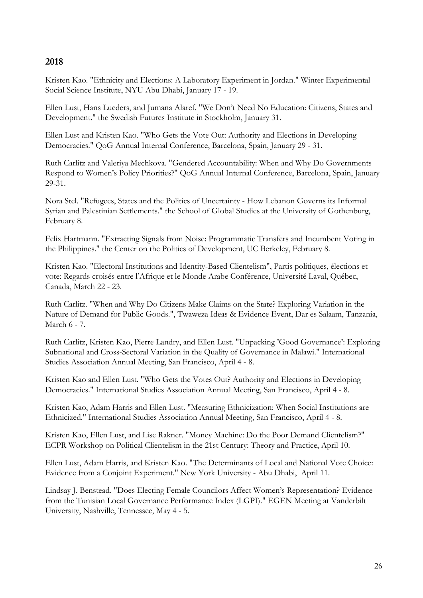# 2018

Kristen Kao. "Ethnicity and Elections: A Laboratory Experiment in Jordan." Winter Experimental Social Science Institute, NYU Abu Dhabi, January 17 - 19.

Ellen Lust, Hans Lueders, and Jumana Alaref. "We Don't Need No Education: Citizens, States and Development." the Swedish Futures Institute in Stockholm, January 31.

Ellen Lust and Kristen Kao. "Who Gets the Vote Out: Authority and Elections in Developing Democracies." QoG Annual Internal Conference, Barcelona, Spain, January 29 - 31.

Ruth Carlitz and Valeriya Mechkova. "Gendered Accountability: When and Why Do Governments Respond to Women's Policy Priorities?" QoG Annual Internal Conference, Barcelona, Spain, January 29-31.

Nora Stel. "Refugees, States and the Politics of Uncertainty - How Lebanon Governs its Informal Syrian and Palestinian Settlements." the School of Global Studies at the University of Gothenburg, February 8.

Felix Hartmann. "Extracting Signals from Noise: Programmatic Transfers and Incumbent Voting in the Philippines." the Center on the Politics of Development, UC Berkeley, February 8.

Kristen Kao. "Electoral Institutions and Identity-Based Clientelism", Partis politiques, élections et vote: Regards croisés entre l'Afrique et le Monde Arabe Conférence, Université Laval, Québec, Canada, March 22 - 23.

Ruth Carlitz. "When and Why Do Citizens Make Claims on the State? Exploring Variation in the Nature of Demand for Public Goods.", Twaweza Ideas & Evidence Event, Dar es Salaam, Tanzania, March 6 - 7.

Ruth Carlitz, Kristen Kao, Pierre Landry, and Ellen Lust. "Unpacking 'Good Governance': Exploring Subnational and Cross-Sectoral Variation in the Quality of Governance in Malawi." International Studies Association Annual Meeting, San Francisco, April 4 - 8.

Kristen Kao and Ellen Lust. "Who Gets the Votes Out? Authority and Elections in Developing Democracies." International Studies Association Annual Meeting, San Francisco, April 4 - 8.

Kristen Kao, Adam Harris and Ellen Lust. "Measuring Ethnicization: When Social Institutions are Ethnicized." International Studies Association Annual Meeting, San Francisco, April 4 - 8.

Kristen Kao, Ellen Lust, and Lise Rakner. "Money Machine: Do the Poor Demand Clientelism?" ECPR Workshop on Political Clientelism in the 21st Century: Theory and Practice, April 10.

Ellen Lust, Adam Harris, and Kristen Kao. "The Determinants of Local and National Vote Choice: Evidence from a Conjoint Experiment." New York University - Abu Dhabi, April 11.

Lindsay J. Benstead. "Does Electing Female Councilors Affect Women's Representation? Evidence from the Tunisian Local Governance Performance Index (LGPI)." EGEN Meeting at Vanderbilt University, Nashville, Tennessee, May 4 - 5.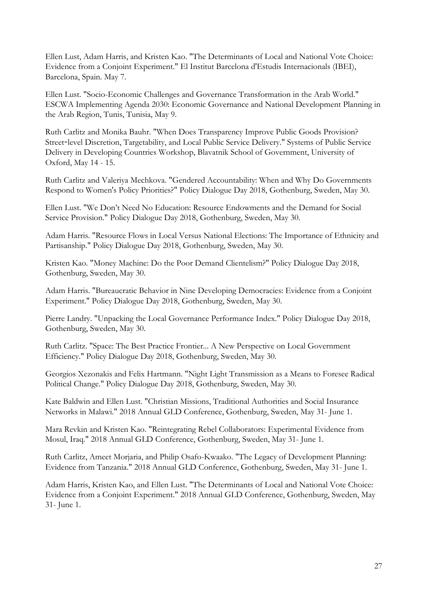Ellen Lust, Adam Harris, and Kristen Kao. "The Determinants of Local and National Vote Choice: Evidence from a Conjoint Experiment." El Institut Barcelona d'Estudis Internacionals (IBEI), Barcelona, Spain. May 7.

Ellen Lust. "Socio-Economic Challenges and Governance Transformation in the Arab World." ESCWA Implementing Agenda 2030: Economic Governance and National Development Planning in the Arab Region, Tunis, Tunisia, May 9.

Ruth Carlitz and Monika Bauhr. "When Does Transparency Improve Public Goods Provision? Street-level Discretion, Targetability, and Local Public Service Delivery." Systems of Public Service Delivery in Developing Countries Workshop, Blavatnik School of Government, University of Oxford, May 14 - 15.

Ruth Carlitz and Valeriya Mechkova. "Gendered Accountability: When and Why Do Governments Respond to Women's Policy Priorities?" Policy Dialogue Day 2018, Gothenburg, Sweden, May 30.

Ellen Lust. "We Don't Need No Education: Resource Endowments and the Demand for Social Service Provision." Policy Dialogue Day 2018, Gothenburg, Sweden, May 30.

Adam Harris. "Resource Flows in Local Versus National Elections: The Importance of Ethnicity and Partisanship." Policy Dialogue Day 2018, Gothenburg, Sweden, May 30.

Kristen Kao. "Money Machine: Do the Poor Demand Clientelism?" Policy Dialogue Day 2018, Gothenburg, Sweden, May 30.

Adam Harris. "Bureaucratic Behavior in Nine Developing Democracies: Evidence from a Conjoint Experiment." Policy Dialogue Day 2018, Gothenburg, Sweden, May 30.

Pierre Landry. "Unpacking the Local Governance Performance Index." Policy Dialogue Day 2018, Gothenburg, Sweden, May 30.

Ruth Carlitz. "Space: The Best Practice Frontier... A New Perspective on Local Government Efficiency." Policy Dialogue Day 2018, Gothenburg, Sweden, May 30.

Georgios Xezonakis and Felix Hartmann. "Night Light Transmission as a Means to Foresee Radical Political Change." Policy Dialogue Day 2018, Gothenburg, Sweden, May 30.

Kate Baldwin and Ellen Lust. "Christian Missions, Traditional Authorities and Social Insurance Networks in Malawi." 2018 Annual GLD Conference, Gothenburg, Sweden, May 31- June 1.

Mara Revkin and Kristen Kao. "Reintegrating Rebel Collaborators: Experimental Evidence from Mosul, Iraq." 2018 Annual GLD Conference, Gothenburg, Sweden, May 31- June 1.

Ruth Carlitz, Ameet Morjaria, and Philip Osafo-Kwaako. "The Legacy of Development Planning: Evidence from Tanzania." 2018 Annual GLD Conference, Gothenburg, Sweden, May 31- June 1.

Adam Harris, Kristen Kao, and Ellen Lust. "The Determinants of Local and National Vote Choice: Evidence from a Conjoint Experiment." 2018 Annual GLD Conference, Gothenburg, Sweden, May 31- June 1.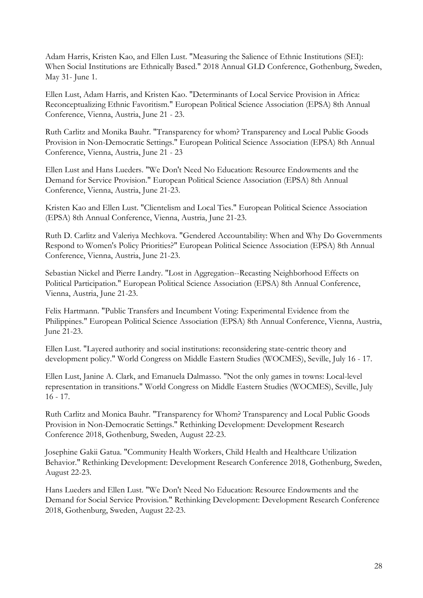Adam Harris, Kristen Kao, and Ellen Lust. "Measuring the Salience of Ethnic Institutions (SEI): When Social Institutions are Ethnically Based." 2018 Annual GLD Conference, Gothenburg, Sweden, May 31- June 1.

Ellen Lust, Adam Harris, and Kristen Kao. "Determinants of Local Service Provision in Africa: Reconceptualizing Ethnic Favoritism." European Political Science Association (EPSA) 8th Annual Conference, Vienna, Austria, June 21 - 23.

Ruth Carlitz and Monika Bauhr. "Transparency for whom? Transparency and Local Public Goods Provision in Non-Democratic Settings." European Political Science Association (EPSA) 8th Annual Conference, Vienna, Austria, June 21 - 23

Ellen Lust and Hans Lueders. "We Don't Need No Education: Resource Endowments and the Demand for Service Provision." European Political Science Association (EPSA) 8th Annual Conference, Vienna, Austria, June 21-23.

Kristen Kao and Ellen Lust. "Clientelism and Local Ties." European Political Science Association (EPSA) 8th Annual Conference, Vienna, Austria, June 21-23.

Ruth D. Carlitz and Valeriya Mechkova. "Gendered Accountability: When and Why Do Governments Respond to Women's Policy Priorities?" European Political Science Association (EPSA) 8th Annual Conference, Vienna, Austria, June 21-23.

Sebastian Nickel and Pierre Landry. "Lost in Aggregation--Recasting Neighborhood Effects on Political Participation." European Political Science Association (EPSA) 8th Annual Conference, Vienna, Austria, June 21-23.

Felix Hartmann. "Public Transfers and Incumbent Voting: Experimental Evidence from the Philippines." European Political Science Association (EPSA) 8th Annual Conference, Vienna, Austria, June 21-23.

Ellen Lust. "Layered authority and social institutions: reconsidering state-centric theory and development policy." World Congress on Middle Eastern Studies (WOCMES), Seville, July 16 - 17.

Ellen Lust, Janine A. Clark, and Emanuela Dalmasso. "Not the only games in towns: Local-level representation in transitions." World Congress on Middle Eastern Studies (WOCMES), Seville, July 16 - 17.

Ruth Carlitz and Monica Bauhr. "Transparency for Whom? Transparency and Local Public Goods Provision in Non-Democratic Settings." Rethinking Development: Development Research Conference 2018, Gothenburg, Sweden, August 22-23.

Josephine Gakii Gatua. "Community Health Workers, Child Health and Healthcare Utilization Behavior." Rethinking Development: Development Research Conference 2018, Gothenburg, Sweden, August 22-23.

Hans Lueders and Ellen Lust. "We Don't Need No Education: Resource Endowments and the Demand for Social Service Provision." Rethinking Development: Development Research Conference 2018, Gothenburg, Sweden, August 22-23.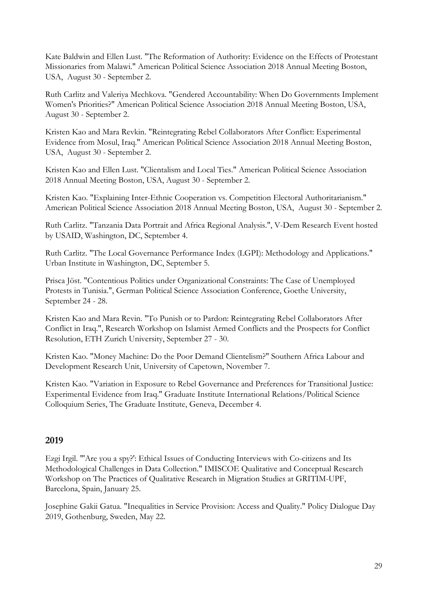Kate Baldwin and Ellen Lust. "The Reformation of Authority: Evidence on the Effects of Protestant Missionaries from Malawi." American Political Science Association 2018 Annual Meeting Boston, USA, August 30 - September 2.

Ruth Carlitz and Valeriya Mechkova. "Gendered Accountability: When Do Governments Implement Women's Priorities?" American Political Science Association 2018 Annual Meeting Boston, USA, August 30 - September 2.

Kristen Kao and Mara Revkin. "Reintegrating Rebel Collaborators After Conflict: Experimental Evidence from Mosul, Iraq." American Political Science Association 2018 Annual Meeting Boston, USA, August 30 - September 2.

Kristen Kao and Ellen Lust. "Clientalism and Local Ties." American Political Science Association 2018 Annual Meeting Boston, USA, August 30 - September 2.

Kristen Kao. "Explaining Inter-Ethnic Cooperation vs. Competition Electoral Authoritarianism." American Political Science Association 2018 Annual Meeting Boston, USA, August 30 - September 2.

Ruth Carlitz. "Tanzania Data Portrait and Africa Regional Analysis.", V-Dem Research Event hosted by USAID, Washington, DC, September 4.

Ruth Carlitz. "The Local Governance Performance Index (LGPI): Methodology and Applications." Urban Institute in Washington, DC, September 5.

Prisca Jöst. "Contentious Politics under Organizational Constraints: The Case of Unemployed Protests in Tunisia.", German Political Science Association Conference, Goethe University, September 24 - 28.

Kristen Kao and Mara Revin. "To Punish or to Pardon: Reintegrating Rebel Collaborators After Conflict in Iraq.", Research Workshop on Islamist Armed Conflicts and the Prospects for Conflict Resolution, ETH Zurich University, September 27 - 30.

Kristen Kao. "Money Machine: Do the Poor Demand Clientelism?" Southern Africa Labour and Development Research Unit, University of Capetown, November 7.

Kristen Kao. "Variation in Exposure to Rebel Governance and Preferences for Transitional Justice: Experimental Evidence from Iraq." Graduate Institute International Relations/Political Science Colloquium Series, The Graduate Institute, Geneva, December 4.

# 2019

Ezgi Irgil. "'Are you a spy?': Ethical Issues of Conducting Interviews with Co-citizens and Its Methodological Challenges in Data Collection." IMISCOE Qualitative and Conceptual Research Workshop on The Practices of Qualitative Research in Migration Studies at GRITIM-UPF, Barcelona, Spain, January 25.

Josephine Gakii Gatua. "Inequalities in Service Provision: Access and Quality." Policy Dialogue Day 2019, Gothenburg, Sweden, May 22.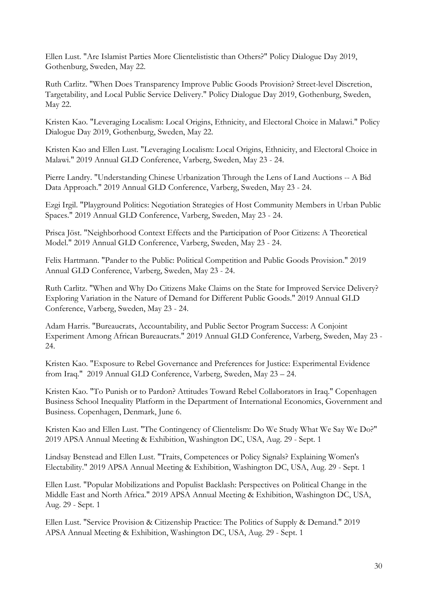Ellen Lust. "Are Islamist Parties More Clientelististic than Others?" Policy Dialogue Day 2019, Gothenburg, Sweden, May 22.

Ruth Carlitz. "When Does Transparency Improve Public Goods Provision? Street-level Discretion, Targetability, and Local Public Service Delivery." Policy Dialogue Day 2019, Gothenburg, Sweden, May 22.

Kristen Kao. "Leveraging Localism: Local Origins, Ethnicity, and Electoral Choice in Malawi." Policy Dialogue Day 2019, Gothenburg, Sweden, May 22.

Kristen Kao and Ellen Lust. "Leveraging Localism: Local Origins, Ethnicity, and Electoral Choice in Malawi." 2019 Annual GLD Conference, Varberg, Sweden, May 23 - 24.

Pierre Landry. "Understanding Chinese Urbanization Through the Lens of Land Auctions -- A Bid Data Approach." 2019 Annual GLD Conference, Varberg, Sweden, May 23 - 24.

Ezgi Irgil. "Playground Politics: Negotiation Strategies of Host Community Members in Urban Public Spaces." 2019 Annual GLD Conference, Varberg, Sweden, May 23 - 24.

Prisca Jöst. "Neighborhood Context Effects and the Participation of Poor Citizens: A Theoretical Model." 2019 Annual GLD Conference, Varberg, Sweden, May 23 - 24.

Felix Hartmann. "Pander to the Public: Political Competition and Public Goods Provision." 2019 Annual GLD Conference, Varberg, Sweden, May 23 - 24.

Ruth Carlitz. "When and Why Do Citizens Make Claims on the State for Improved Service Delivery? Exploring Variation in the Nature of Demand for Different Public Goods." 2019 Annual GLD Conference, Varberg, Sweden, May 23 - 24.

Adam Harris. "Bureaucrats, Accountability, and Public Sector Program Success: A Conjoint Experiment Among African Bureaucrats." 2019 Annual GLD Conference, Varberg, Sweden, May 23 - 24.

Kristen Kao. "Exposure to Rebel Governance and Preferences for Justice: Experimental Evidence from Iraq." 2019 Annual GLD Conference, Varberg, Sweden, May 23 – 24.

Kristen Kao. "To Punish or to Pardon? Attitudes Toward Rebel Collaborators in Iraq." Copenhagen Business School Inequality Platform in the Department of International Economics, Government and Business. Copenhagen, Denmark, June 6.

Kristen Kao and Ellen Lust. "The Contingency of Clientelism: Do We Study What We Say We Do?" 2019 APSA Annual Meeting & Exhibition, Washington DC, USA, Aug. 29 - Sept. 1

Lindsay Benstead and Ellen Lust. "Traits, Competences or Policy Signals? Explaining Women's Electability." 2019 APSA Annual Meeting & Exhibition, Washington DC, USA, Aug. 29 - Sept. 1

Ellen Lust. "Popular Mobilizations and Populist Backlash: Perspectives on Political Change in the Middle East and North Africa." 2019 APSA Annual Meeting & Exhibition, Washington DC, USA, Aug. 29 - Sept. 1

Ellen Lust. "Service Provision & Citizenship Practice: The Politics of Supply & Demand." 2019 APSA Annual Meeting & Exhibition, Washington DC, USA, Aug. 29 - Sept. 1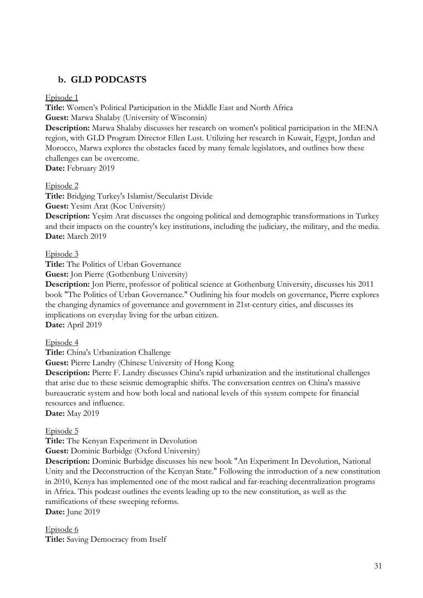# b. GLD PODCASTS

# Episode 1

Title: Women's Political Participation in the Middle East and North Africa Guest: Marwa Shalaby (University of Wisconsin)

Description: Marwa Shalaby discusses her research on women's political participation in the MENA region, with GLD Program Director Ellen Lust. Utilizing her research in Kuwait, Egypt, Jordan and Morocco, Marwa explores the obstacles faced by many female legislators, and outlines how these challenges can be overcome.

Date: February 2019

# Episode 2

Title: Bridging Turkey's Islamist/Secularist Divide Guest: Yesim Arat (Koc University)

Description: Yeşim Arat discusses the ongoing political and demographic transformations in Turkey and their impacts on the country's key institutions, including the judiciary, the military, and the media. Date: March 2019

# Episode 3

Title: The Politics of Urban Governance

Guest: Jon Pierre (Gothenburg University)

Description: Jon Pierre, professor of political science at Gothenburg University, discusses his 2011 book "The Politics of Urban Governance." Outlining his four models on governance, Pierre explores the changing dynamics of governance and government in 21st-century cities, and discusses its implications on everyday living for the urban citizen.

Date: April 2019

# Episode 4

Title: China's Urbanization Challenge

Guest: Pierre Landry (Chinese University of Hong Kong

Description: Pierre F. Landry discusses China's rapid urbanization and the institutional challenges that arise due to these seismic demographic shifts. The conversation centres on China's massive bureaucratic system and how both local and national levels of this system compete for financial resources and influence.

Date: May 2019

# Episode 5

Title: The Kenyan Experiment in Devolution

Guest: Dominic Burbidge (Oxford University)

Description: Dominic Burbidge discusses his new book "An Experiment In Devolution, National Unity and the Deconstruction of the Kenyan State." Following the introduction of a new constitution in 2010, Kenya has implemented one of the most radical and far-reaching decentralization programs in Africa. This podcast outlines the events leading up to the new constitution, as well as the ramifications of these sweeping reforms.

Date: June 2019

Episode 6 Title: Saving Democracy from Itself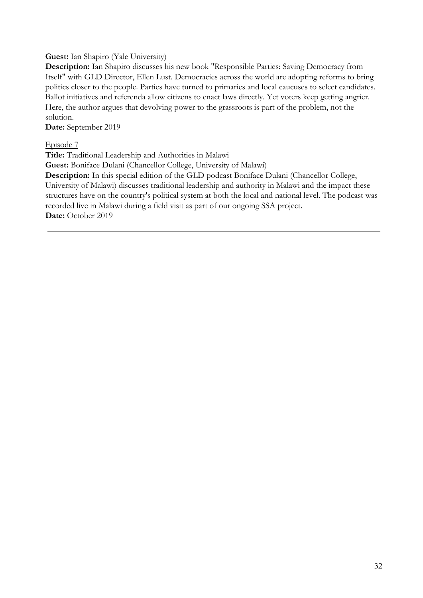## Guest: Ian Shapiro (Yale University)

Description: Ian Shapiro discusses his new book "Responsible Parties: Saving Democracy from Itself" with GLD Director, Ellen Lust. Democracies across the world are adopting reforms to bring politics closer to the people. Parties have turned to primaries and local caucuses to select candidates. Ballot initiatives and referenda allow citizens to enact laws directly. Yet voters keep getting angrier. Here, the author argues that devolving power to the grassroots is part of the problem, not the solution.

Date: September 2019

Episode 7

Title: Traditional Leadership and Authorities in Malawi

Guest: Boniface Dulani (Chancellor College, University of Malawi)

Description: In this special edition of the GLD podcast Boniface Dulani (Chancellor College, University of Malawi) discusses traditional leadership and authority in Malawi and the impact these structures have on the country's political system at both the local and national level. The podcast was recorded live in Malawi during a field visit as part of our ongoing SSA project. Date: October 2019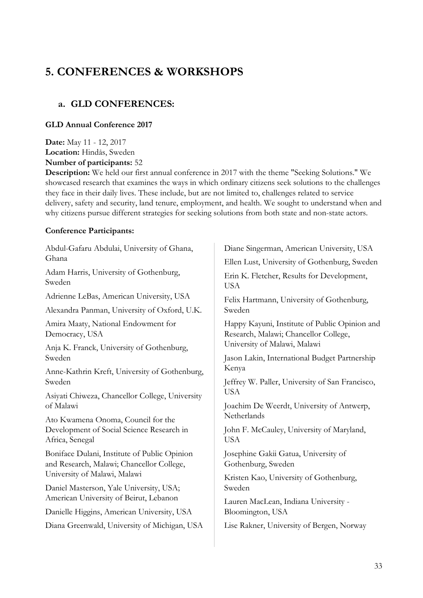# 5. CONFERENCES & WORKSHOPS

# a. GLD CONFERENCES:

# GLD Annual Conference 2017

Date: May 11 - 12, 2017 Location: Hindås, Sweden

Number of participants: 52

Description: We held our first annual conference in 2017 with the theme "Seeking Solutions." We showcased research that examines the ways in which ordinary citizens seek solutions to the challenges they face in their daily lives. These include, but are not limited to, challenges related to service delivery, safety and security, land tenure, employment, and health. We sought to understand when and why citizens pursue different strategies for seeking solutions from both state and non-state actors.

# Conference Participants:

| Abdul-Gafaru Abdulai, University of Ghana,<br>Ghana                                                                     | Diane Singerman, American University, USA                                                                |  |
|-------------------------------------------------------------------------------------------------------------------------|----------------------------------------------------------------------------------------------------------|--|
| Adam Harris, University of Gothenburg,<br>Sweden                                                                        | Ellen Lust, University of Gothenburg, Sweden<br>Erin K. Fletcher, Results for Development,<br><b>USA</b> |  |
| Adrienne LeBas, American University, USA                                                                                | Felix Hartmann, University of Gothenburg,                                                                |  |
| Alexandra Panman, University of Oxford, U.K.                                                                            | Sweden                                                                                                   |  |
| Amira Maaty, National Endowment for                                                                                     | Happy Kayuni, Institute of Public Opinion and                                                            |  |
| Democracy, USA                                                                                                          | Research, Malawi; Chancellor College,                                                                    |  |
| Anja K. Franck, University of Gothenburg,                                                                               | University of Malawi, Malawi                                                                             |  |
| Sweden                                                                                                                  | Jason Lakin, International Budget Partnership                                                            |  |
| Anne-Kathrin Kreft, University of Gothenburg,<br>Sweden<br>Asiyati Chiweza, Chancellor College, University<br>of Malawi | Kenya<br>Jeffrey W. Paller, University of San Francisco,<br><b>USA</b>                                   |  |
|                                                                                                                         | Joachim De Weerdt, University of Antwerp,<br>Netherlands                                                 |  |
| Ato Kwamena Onoma, Council for the<br>Development of Social Science Research in<br>Africa, Senegal                      | John F. McCauley, University of Maryland,<br><b>USA</b>                                                  |  |
| Boniface Dulani, Institute of Public Opinion                                                                            | Josephine Gakii Gatua, University of                                                                     |  |
| and Research, Malawi; Chancellor College,                                                                               | Gothenburg, Sweden                                                                                       |  |
| University of Malawi, Malawi                                                                                            | Kristen Kao, University of Gothenburg,                                                                   |  |
| Daniel Masterson, Yale University, USA;                                                                                 | Sweden                                                                                                   |  |
| American University of Beirut, Lebanon                                                                                  | Lauren MacLean, Indiana University -                                                                     |  |
| Danielle Higgins, American University, USA                                                                              | Bloomington, USA                                                                                         |  |
| Diana Greenwald, University of Michigan, USA                                                                            | Lise Rakner, University of Bergen, Norway                                                                |  |
|                                                                                                                         |                                                                                                          |  |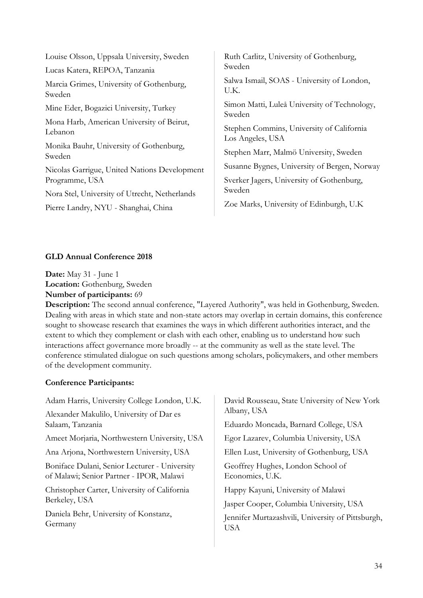| Ruth Carlitz, University of Gothenburg,<br>Sweden                                         |  |
|-------------------------------------------------------------------------------------------|--|
|                                                                                           |  |
| Simon Matti, Luleå University of Technology,<br>Sweden                                    |  |
| Stephen Commins, University of California<br>Los Angeles, USA                             |  |
| Stephen Marr, Malmö University, Sweden                                                    |  |
| Susanne Bygnes, University of Bergen, Norway<br>Sverker Jagers, University of Gothenburg, |  |
| Sweden<br>Zoe Marks, University of Edinburgh, U.K.                                        |  |
|                                                                                           |  |

# GLD Annual Conference 2018

Date: May 31 - June 1 Location: Gothenburg, Sweden Number of participants: 69

Description: The second annual conference, "Layered Authority", was held in Gothenburg, Sweden. Dealing with areas in which state and non-state actors may overlap in certain domains, this conference sought to showcase research that examines the ways in which different authorities interact, and the extent to which they complement or clash with each other, enabling us to understand how such interactions affect governance more broadly -- at the community as well as the state level. The conference stimulated dialogue on such questions among scholars, policymakers, and other members of the development community.

# Conference Participants:

Adam Harris, University College London, U.K. Alexander Makulilo, University of Dar es Salaam, Tanzania Ameet Morjaria, Northwestern University, USA Ana Arjona, Northwestern University, USA Boniface Dulani, Senior Lecturer - University of Malawi; Senior Partner - IPOR, Malawi Christopher Carter, University of California Berkeley, USA Daniela Behr, University of Konstanz, Germany David Rousseau, State University of New York Albany, USA Eduardo Moncada, Barnard College, USA Egor Lazarev, Columbia University, USA Ellen Lust, University of Gothenburg, USA Geoffrey Hughes, London School of Economics, U.K. Happy Kayuni, University of Malawi Jasper Cooper, Columbia University, USA Jennifer Murtazashvili, University of Pittsburgh, USA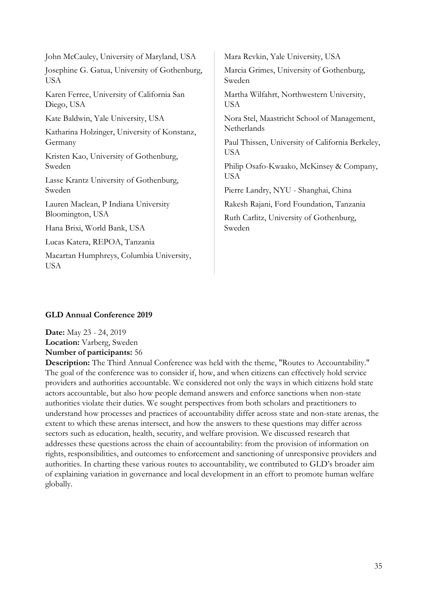| John McCauley, University of Maryland, USA                  | Mara Revkin, Yale University, USA                          |  |
|-------------------------------------------------------------|------------------------------------------------------------|--|
| Josephine G. Gatua, University of Gothenburg,<br><b>USA</b> | Marcia Grimes, University of Gothenburg,<br>Sweden         |  |
| Karen Ferree, University of California San<br>Diego, USA    | Martha Wilfahrt, Northwestern University,<br><b>USA</b>    |  |
| Kate Baldwin, Yale University, USA                          | Nora Stel, Maastricht School of Management,<br>Netherlands |  |
| Katharina Holzinger, University of Konstanz,                |                                                            |  |
| Germany                                                     | Paul Thissen, University of California Berkeley,           |  |
| Kristen Kao, University of Gothenburg,                      | <b>USA</b>                                                 |  |
| Sweden                                                      | Philip Osafo-Kwaako, McKinsey & Company,                   |  |
| Lasse Krantz University of Gothenburg,                      | <b>USA</b>                                                 |  |
| Sweden                                                      | Pierre Landry, NYU - Shanghai, China                       |  |
| Lauren Maclean, P Indiana University                        | Rakesh Rajani, Ford Foundation, Tanzania                   |  |
| Bloomington, USA                                            | Ruth Carlitz, University of Gothenburg,<br>Sweden          |  |
| Hana Brixi, World Bank, USA                                 |                                                            |  |
| Lucas Katera, REPOA, Tanzania                               |                                                            |  |
| Macartan Humphreys, Columbia University,<br><b>USA</b>      |                                                            |  |
|                                                             |                                                            |  |

#### GLD Annual Conference 2019

Date: May 23 - 24, 2019 Location: Varberg, Sweden Number of participants: 56

Description: The Third Annual Conference was held with the theme, "Routes to Accountability." The goal of the conference was to consider if, how, and when citizens can effectively hold service providers and authorities accountable. We considered not only the ways in which citizens hold state actors accountable, but also how people demand answers and enforce sanctions when non-state authorities violate their duties. We sought perspectives from both scholars and practitioners to understand how processes and practices of accountability differ across state and non-state arenas, the extent to which these arenas intersect, and how the answers to these questions may differ across sectors such as education, health, security, and welfare provision. We discussed research that addresses these questions across the chain of accountability: from the provision of information on rights, responsibilities, and outcomes to enforcement and sanctioning of unresponsive providers and authorities. In charting these various routes to accountability, we contributed to GLD's broader aim of explaining variation in governance and local development in an effort to promote human welfare globally.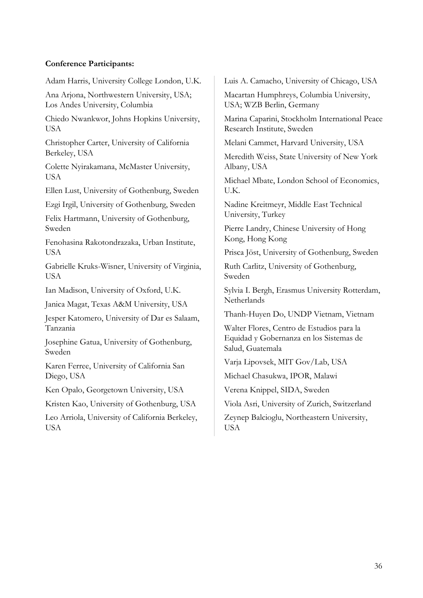## Conference Participants:

Adam Harris, University College London, U.K.

Ana Arjona, Northwestern University, USA; Los Andes University, Columbia

Chiedo Nwankwor, Johns Hopkins University, USA

Christopher Carter, University of California Berkeley, USA

Colette Nyirakamana, McMaster University, USA

Ellen Lust, University of Gothenburg, Sweden

Ezgi Irgil, University of Gothenburg, Sweden

Felix Hartmann, University of Gothenburg, Sweden

Fenohasina Rakotondrazaka, Urban Institute, USA

Gabrielle Kruks-Wisner, University of Virginia, **USA** 

Ian Madison, University of Oxford, U.K.

Janica Magat, Texas A&M University, USA

Jesper Katomero, University of Dar es Salaam, Tanzania

Josephine Gatua, University of Gothenburg, Sweden

Karen Ferree, University of California San Diego, USA

Ken Opalo, Georgetown University, USA

Kristen Kao, University of Gothenburg, USA

Leo Arriola, University of California Berkeley, USA

Luis A. Camacho, University of Chicago, USA

Macartan Humphreys, Columbia University, USA; WZB Berlin, Germany

Marina Caparini, Stockholm International Peace Research Institute, Sweden

Melani Cammet, Harvard University, USA

Meredith Weiss, State University of New York Albany, USA

Michael Mbate, London School of Economics, U.K.

Nadine Kreitmeyr, Middle East Technical University, Turkey

Pierre Landry, Chinese University of Hong Kong, Hong Kong

Prisca Jöst, University of Gothenburg, Sweden

Ruth Carlitz, University of Gothenburg, Sweden

Sylvia I. Bergh, Erasmus University Rotterdam, **Netherlands** 

Thanh-Huyen Do, UNDP Vietnam, Vietnam

Walter Flores, Centro de Estudios para la Equidad y Gobernanza en los Sistemas de Salud, Guatemala

Varja Lipovsek, MIT Gov/Lab, USA

Michael Chasukwa, IPOR, Malawi

Verena Knippel, SIDA, Sweden

Viola Asri, University of Zurich, Switzerland

Zeynep Balcioglu, Northeastern University, USA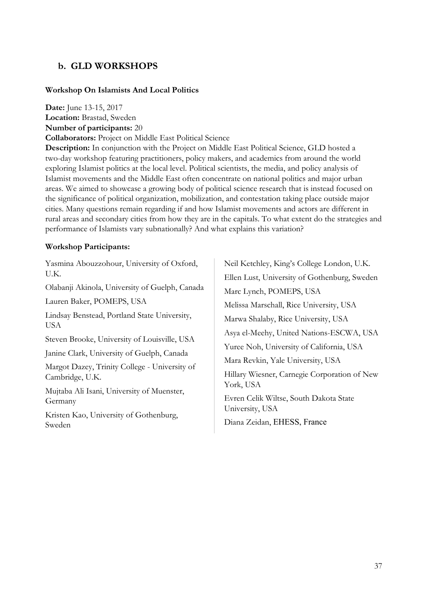# b. GLD WORKSHOPS

#### Workshop On Islamists And Local Politics

Date: June 13-15, 2017

Location: Brastad, Sweden

Number of participants: 20

Collaborators: Project on Middle East Political Science

Description: In conjunction with the Project on Middle East Political Science, GLD hosted a two-day workshop featuring practitioners, policy makers, and academics from around the world exploring Islamist politics at the local level. Political scientists, the media, and policy analysis of Islamist movements and the Middle East often concentrate on national politics and major urban areas. We aimed to showcase a growing body of political science research that is instead focused on the significance of political organization, mobilization, and contestation taking place outside major cities. Many questions remain regarding if and how Islamist movements and actors are different in rural areas and secondary cities from how they are in the capitals. To what extent do the strategies and performance of Islamists vary subnationally? And what explains this variation?

#### Workshop Participants:

Yasmina Abouzzohour, University of Oxford,  $U K$ 

Olabanji Akinola, University of Guelph, Canada

Lauren Baker, POMEPS, USA

Lindsay Benstead, Portland State University, USA

Steven Brooke, University of Louisville, USA

Janine Clark, University of Guelph, Canada

Margot Dazey, Trinity College - University of Cambridge, U.K.

Mujtaba Ali Isani, University of Muenster, Germany

Kristen Kao, University of Gothenburg, Sweden

Neil Ketchley, King's College London, U.K. Ellen Lust, University of Gothenburg, Sweden Marc Lynch, POMEPS, USA Melissa Marschall, Rice University, USA Marwa Shalaby, Rice University, USA Asya el-Meehy, United Nations-ESCWA, USA Yuree Noh, University of California, USA Mara Revkin, Yale University, USA Hillary Wiesner, Carnegie Corporation of New York, USA Evren Celik Wiltse, South Dakota State University, USA Diana Zeidan, EHESS, France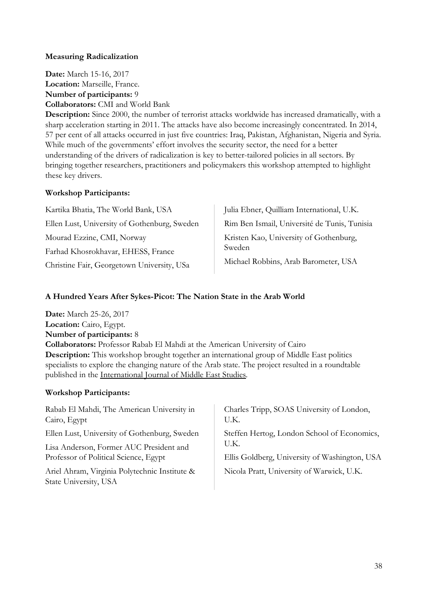## Measuring Radicalization

Date: March 15-16, 2017 Location: Marseille, France. Number of participants: 9 Collaborators: CMI and World Bank

Description: Since 2000, the number of terrorist attacks worldwide has increased dramatically, with a sharp acceleration starting in 2011. The attacks have also become increasingly concentrated. In 2014, 57 per cent of all attacks occurred in just five countries: Iraq, Pakistan, Afghanistan, Nigeria and Syria. While much of the governments' effort involves the security sector, the need for a better understanding of the drivers of radicalization is key to better-tailored policies in all sectors. By bringing together researchers, practitioners and policymakers this workshop attempted to highlight these key drivers.

#### Workshop Participants:

| Kartika Bhatia, The World Bank, USA          | Julia Ebner, Quilliam International, U.K.        |  |
|----------------------------------------------|--------------------------------------------------|--|
| Ellen Lust, University of Gothenburg, Sweden | Rim Ben Ismail, Université de Tunis, Tunisia     |  |
| Mourad Ezzine, CMI, Norway                   | Kristen Kao, University of Gothenburg,<br>Sweden |  |
| Farhad Khosrokhavar, EHESS, France           |                                                  |  |
| Christine Fair, Georgetown University, USa   | Michael Robbins, Arab Barometer, USA             |  |

## A Hundred Years After Sykes-Picot: The Nation State in the Arab World

Date: March 25-26, 2017 Location: Cairo, Egypt. Number of participants: 8 Collaborators: Professor Rabab El Mahdi at the American University of Cairo Description: This workshop brought together an international group of Middle East politics specialists to explore the changing nature of the Arab state. The project resulted in a roundtable published in the International Journal of Middle East Studies.

#### Workshop Participants:

| Rabab El Mahdi, The American University in                             | Charles Tripp, SOAS University of London,     |
|------------------------------------------------------------------------|-----------------------------------------------|
| Cairo, Egypt                                                           | U.K.                                          |
| Ellen Lust, University of Gothenburg, Sweden                           | Steffen Hertog, London School of Economics,   |
| Lisa Anderson, Former AUC President and                                | U.K.                                          |
| Professor of Political Science, Egypt                                  | Ellis Goldberg, University of Washington, USA |
| Ariel Ahram, Virginia Polytechnic Institute &<br>State University, USA | Nicola Pratt, University of Warwick, U.K.     |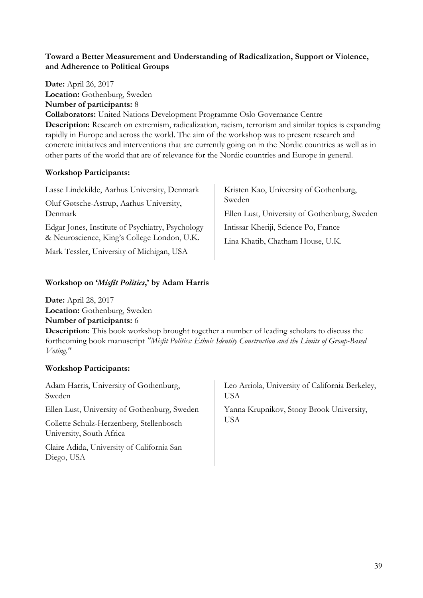# Toward a Better Measurement and Understanding of Radicalization, Support or Violence, and Adherence to Political Groups

Date: April 26, 2017 Location: Gothenburg, Sweden Number of participants: 8 Collaborators: United Nations Development Programme Oslo Governance Centre Description: Research on extremism, radicalization, racism, terrorism and similar topics is expanding rapidly in Europe and across the world. The aim of the workshop was to present research and concrete initiatives and interventions that are currently going on in the Nordic countries as well as in other parts of the world that are of relevance for the Nordic countries and Europe in general.

# Workshop Participants:

Lasse Lindekilde, Aarhus University, Denmark

Oluf Gøtsche-Astrup, Aarhus University, Denmark

Edgar Jones, Institute of Psychiatry, Psychology & Neuroscience, King's College London, U.K.

Mark Tessler, University of Michigan, USA

Kristen Kao, University of Gothenburg, Sweden

Ellen Lust, University of Gothenburg, Sweden

Intissar Kheriji, Science Po, France

Lina Khatib, Chatham House, U.K.

# Workshop on 'Misfit Politics,' by Adam Harris

Date: April 28, 2017 Location: Gothenburg, Sweden Number of participants: 6

Description: This book workshop brought together a number of leading scholars to discuss the forthcoming book manuscript "Misfit Politics: Ethnic Identity Construction and the Limits of Group-Based Voting."

# Workshop Participants:

| Adam Harris, University of Gothenburg,<br>Sweden                                                                     | Leo Arriola, University of California Berkeley,<br><b>USA</b> |
|----------------------------------------------------------------------------------------------------------------------|---------------------------------------------------------------|
| Ellen Lust, University of Gothenburg, Sweden<br>Collette Schulz-Herzenberg, Stellenbosch<br>University, South Africa | Yanna Krupnikov, Stony Brook University,<br>USA               |
| Claire Adida, University of California San<br>Diego, USA                                                             |                                                               |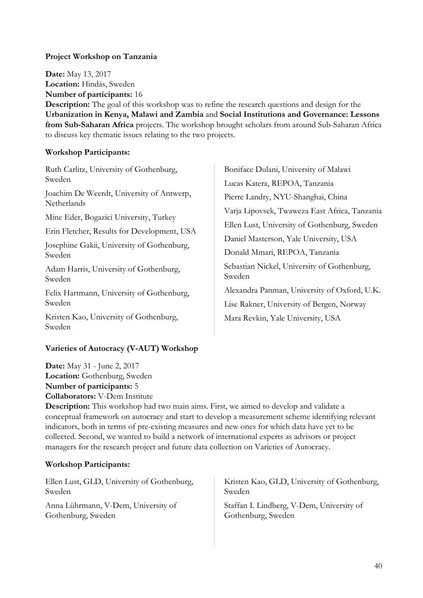# Project Workshop on Tanzania

Date: May 13, 2017 Location: Hindås, Sweden Number of participants: 16

Description: The goal of this workshop was to refine the research questions and design for the Urbanization in Kenya, Malawi and Zambia and Social Institutions and Governance: Lessons from Sub-Saharan Africa projects. The workshop brought scholars from around Sub-Saharan Africa to discuss key thematic issues relating to the two projects.

# Workshop Participants:

Ruth Carlitz, University of Gothenburg, Sweden

Joachim De Weerdt, University of Antwerp, **Netherlands** 

Mine Eder, Bogazici University, Turkey

Erin Fletcher, Results for Development, USA

Josephine Gakii, University of Gothenburg, Sweden

Adam Harris, University of Gothenburg, Sweden

Felix Hartmann, University of Gothenburg, Sweden

Kristen Kao, University of Gothenburg, Sweden

# Varieties of Autocracy (V-AUT) Workshop

Date: May 31 - June 2, 2017 Location: Gothenburg, Sweden Number of participants: 5

Collaborators: V-Dem Institute

Boniface Dulani, University of Malawi Lucas Katera, REPOA, Tanzania Pierre Landry, NYU-Shanghai, China Varja Lipovsek, Twaweza East Africa, Tanzania Ellen Lust, University of Gothenburg, Sweden Daniel Masterson, Yale University, USA Donald Mmari, REPOA, Tanzania Sebastian Nickel, University of Gothenburg, Sweden Alexandra Panman, University of Oxford, U.K. Lise Rakner, University of Bergen, Norway Mara Revkin, Yale University, USA

Description: This workshop had two main aims. First, we aimed to develop and validate a conceptual framework on autocracy and start to develop a measurement scheme identifying relevant indicators, both in terms of pre-existing measures and new ones for which data have yet to be collected. Second, we wanted to build a network of international experts as advisors or project managers for the research project and future data collection on Varieties of Autocracy.

# Workshop Participants:

Ellen Lust, GLD, University of Gothenburg, Sweden

Anna Lührmann, V-Dem, University of Gothenburg, Sweden

Kristen Kao, GLD, University of Gothenburg, Sweden

Staffan I. Lindberg, V-Dem, University of Gothenburg, Sweden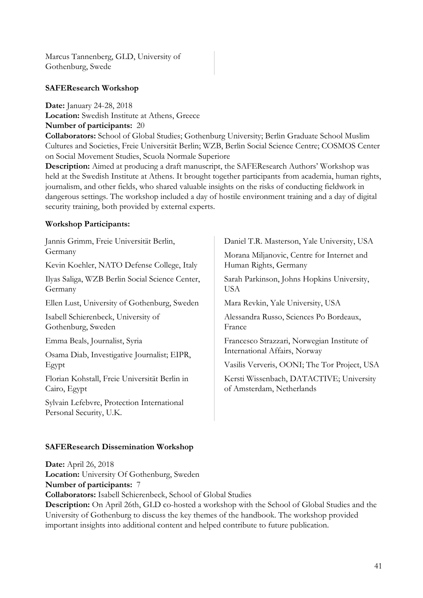Marcus Tannenberg, GLD, University of Gothenburg, Swede

#### SAFEResearch Workshop

Date: January 24-28, 2018 Location: Swedish Institute at Athens, Greece Number of participants: 20

Collaborators: School of Global Studies; Gothenburg University; Berlin Graduate School Muslim Cultures and Societies, Freie Universität Berlin; WZB, Berlin Social Science Centre; COSMOS Center on Social Movement Studies, Scuola Normale Superiore

Description: Aimed at producing a draft manuscript, the SAFEResearch Authors' Workshop was held at the Swedish Institute at Athens. It brought together participants from academia, human rights, journalism, and other fields, who shared valuable insights on the risks of conducting fieldwork in dangerous settings. The workshop included a day of hostile environment training and a day of digital security training, both provided by external experts.

#### Workshop Participants:

| Jannis Grimm, Freie Universität Berlin,                               | Daniel T.R. Masterson, Yale University, USA                                  |  |
|-----------------------------------------------------------------------|------------------------------------------------------------------------------|--|
| Germany                                                               | Morana Miljanovic, Centre for Internet and<br>Human Rights, Germany          |  |
| Kevin Koehler, NATO Defense College, Italy                            |                                                                              |  |
| Ilyas Saliga, WZB Berlin Social Science Center,<br>Germany            | Sarah Parkinson, Johns Hopkins University,<br>USA                            |  |
| Ellen Lust, University of Gothenburg, Sweden                          | Mara Revkin, Yale University, USA                                            |  |
| Isabell Schierenbeck, University of<br>Gothenburg, Sweden             | Alessandra Russo, Sciences Po Bordeaux,<br>France                            |  |
| Emma Beals, Journalist, Syria                                         | Francesco Strazzari, Norwegian Institute of<br>International Affairs, Norway |  |
| Osama Diab, Investigative Journalist; EIPR,                           |                                                                              |  |
| Egypt                                                                 | Vasilis Ververis, OONI; The Tor Project, USA                                 |  |
| Florian Kohstall, Freie Universität Berlin in<br>Cairo, Egypt         | Kersti Wissenbach, DATACTIVE; University<br>of Amsterdam, Netherlands        |  |
| Sylvain Lefebvre, Protection International<br>Personal Security, U.K. |                                                                              |  |
|                                                                       |                                                                              |  |

#### SAFEResearch Dissemination Workshop

Date: April 26, 2018 Location: University Of Gothenburg, Sweden Number of participants: 7 Collaborators: Isabell Schierenbeck, School of Global Studies

Description: On April 26th, GLD co-hosted a workshop with the School of Global Studies and the University of Gothenburg to discuss the key themes of the handbook. The workshop provided important insights into additional content and helped contribute to future publication.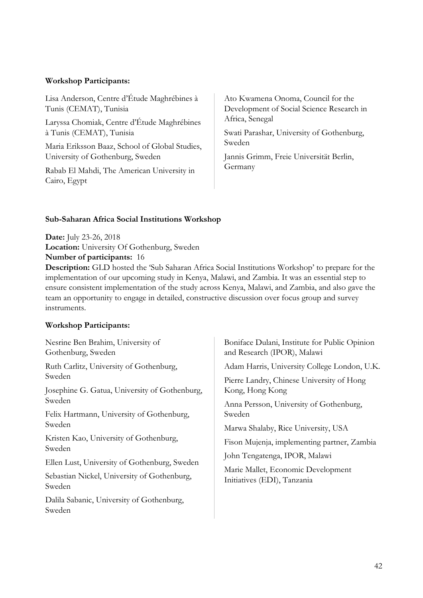## Workshop Participants:

Lisa Anderson, Centre d'Étude Maghrébines à Tunis (CEMAT), Tunisia

Laryssa Chomiak, Centre d'Étude Maghrébines à Tunis (CEMAT), Tunisia

Maria Eriksson Baaz, School of Global Studies, University of Gothenburg, Sweden

Rabab El Mahdi, The American University in Cairo, Egypt

Ato Kwamena Onoma, Council for the Development of Social Science Research in Africa, Senegal

Swati Parashar, University of Gothenburg, Sweden

Jannis Grimm, Freie Universität Berlin, Germany

## Sub-Saharan Africa Social Institutions Workshop

Date: July 23-26, 2018 Location: University Of Gothenburg, Sweden Number of participants: 16

Description: GLD hosted the 'Sub Saharan Africa Social Institutions Workshop' to prepare for the implementation of our upcoming study in Kenya, Malawi, and Zambia. It was an essential step to ensure consistent implementation of the study across Kenya, Malawi, and Zambia, and also gave the team an opportunity to engage in detailed, constructive discussion over focus group and survey instruments.

# Workshop Participants:

Nesrine Ben Brahim, University of Gothenburg, Sweden

Ruth Carlitz, University of Gothenburg, Sweden

Josephine G. Gatua, University of Gothenburg, Sweden

Felix Hartmann, University of Gothenburg, Sweden

Kristen Kao, University of Gothenburg, Sweden

Ellen Lust, University of Gothenburg, Sweden

Sebastian Nickel, University of Gothenburg, Sweden

Dalila Sabanic, University of Gothenburg, Sweden

Boniface Dulani, Institute for Public Opinion and Research (IPOR), Malawi

Adam Harris, University College London, U.K.

Pierre Landry, Chinese University of Hong Kong, Hong Kong

Anna Persson, University of Gothenburg, Sweden

Marwa Shalaby, Rice University, USA

Fison Mujenja, implementing partner, Zambia

John Tengatenga, IPOR, Malawi

Marie Mallet, Economic Development Initiatives (EDI), Tanzania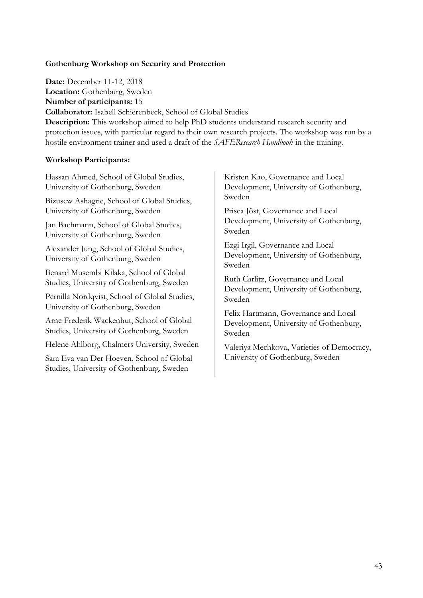# Gothenburg Workshop on Security and Protection

Date: December 11-12, 2018 Location: Gothenburg, Sweden Number of participants: 15 Collaborator: Isabell Schierenbeck, School of Global Studies Description: This workshop aimed to help PhD students understand research security and protection issues, with particular regard to their own research projects. The workshop was run by a hostile environment trainer and used a draft of the SAFEResearch Handbook in the training.

#### Workshop Participants:

Hassan Ahmed, School of Global Studies, University of Gothenburg, Sweden

Bizusew Ashagrie, School of Global Studies, University of Gothenburg, Sweden

Jan Bachmann, School of Global Studies, University of Gothenburg, Sweden

Alexander Jung, School of Global Studies, University of Gothenburg, Sweden

Benard Musembi Kilaka, School of Global Studies, University of Gothenburg, Sweden

Pernilla Nordqvist, School of Global Studies, University of Gothenburg, Sweden

Arne Frederik Wackenhut, School of Global Studies, University of Gothenburg, Sweden

Helene Ahlborg, Chalmers University, Sweden

Sara Eva van Der Hoeven, School of Global Studies, University of Gothenburg, Sweden

Kristen Kao, Governance and Local Development, University of Gothenburg, Sweden

Prisca Jöst, Governance and Local Development, University of Gothenburg, Sweden

Ezgi Irgil, Governance and Local Development, University of Gothenburg, Sweden

Ruth Carlitz, Governance and Local Development, University of Gothenburg, Sweden

Felix Hartmann, Governance and Local Development, University of Gothenburg, Sweden

Valeriya Mechkova, Varieties of Democracy, University of Gothenburg, Sweden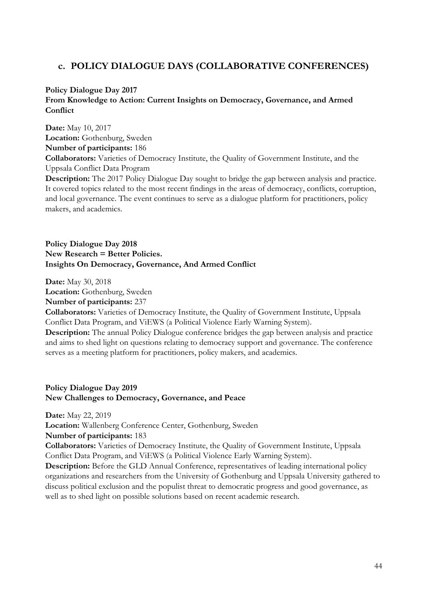# c. POLICY DIALOGUE DAYS (COLLABORATIVE CONFERENCES)

# Policy Dialogue Day 2017 From Knowledge to Action: Current Insights on Democracy, Governance, and Armed **Conflict**

Date: May 10, 2017 Location: Gothenburg, Sweden Number of participants: 186 Collaborators: Varieties of Democracy Institute, the Quality of Government Institute, and the Uppsala Conflict Data Program Description: The 2017 Policy Dialogue Day sought to bridge the gap between analysis and practice. It covered topics related to the most recent findings in the areas of democracy, conflicts, corruption, and local governance. The event continues to serve as a dialogue platform for practitioners, policy makers, and academics.

## Policy Dialogue Day 2018 New Research = Better Policies. Insights On Democracy, Governance, And Armed Conflict

Date: May 30, 2018 Location: Gothenburg, Sweden Number of participants: 237

Collaborators: Varieties of Democracy Institute, the Quality of Government Institute, Uppsala Conflict Data Program, and ViEWS (a Political Violence Early Warning System).

Description: The annual Policy Dialogue conference bridges the gap between analysis and practice and aims to shed light on questions relating to democracy support and governance. The conference serves as a meeting platform for practitioners, policy makers, and academics.

## Policy Dialogue Day 2019 New Challenges to Democracy, Governance, and Peace

Date: May 22, 2019

Location: Wallenberg Conference Center, Gothenburg, Sweden

#### Number of participants: 183

Collaborators: Varieties of Democracy Institute, the Quality of Government Institute, Uppsala Conflict Data Program, and ViEWS (a Political Violence Early Warning System).

Description: Before the GLD Annual Conference, representatives of leading international policy organizations and researchers from the University of Gothenburg and Uppsala University gathered to discuss political exclusion and the populist threat to democratic progress and good governance, as well as to shed light on possible solutions based on recent academic research.